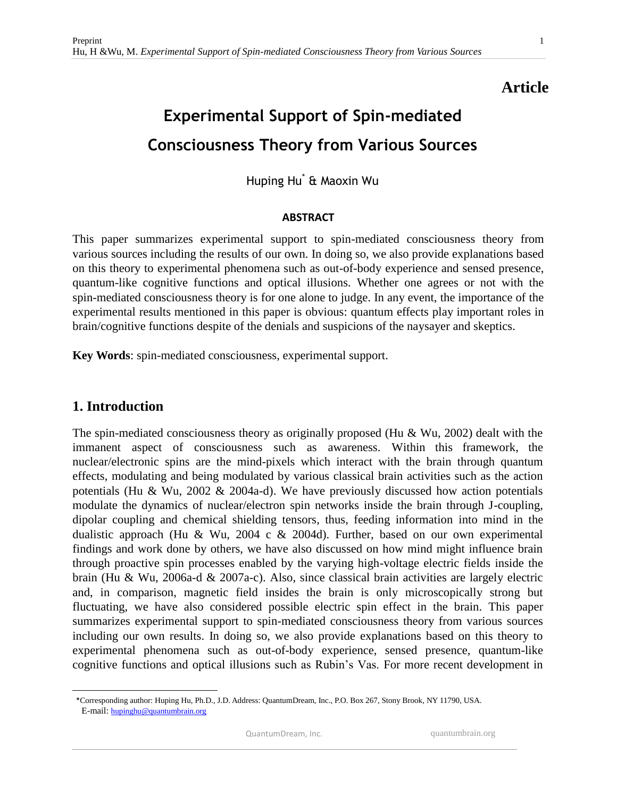# **Article**

# **Experimental Support of Spin-mediated Consciousness Theory from Various Sources**

Huping Hu\* & Maoxin Wu

#### **ABSTRACT**

This paper summarizes experimental support to spin-mediated consciousness theory from various sources including the results of our own. In doing so, we also provide explanations based on this theory to experimental phenomena such as out-of-body experience and sensed presence, quantum-like cognitive functions and optical illusions. Whether one agrees or not with the spin-mediated consciousness theory is for one alone to judge. In any event, the importance of the experimental results mentioned in this paper is obvious: quantum effects play important roles in brain/cognitive functions despite of the denials and suspicions of the naysayer and skeptics.

**Key Words**: spin-mediated consciousness, experimental support.

## **1. Introduction**

 $\overline{a}$ 

The spin-mediated consciousness theory as originally proposed (Hu & Wu, 2002) dealt with the immanent aspect of consciousness such as awareness. Within this framework, the nuclear/electronic spins are the mind-pixels which interact with the brain through quantum effects, modulating and being modulated by various classical brain activities such as the action potentials (Hu & Wu, 2002 & 2004a-d). We have previously discussed how action potentials modulate the dynamics of nuclear/electron spin networks inside the brain through J-coupling, dipolar coupling and chemical shielding tensors, thus, feeding information into mind in the dualistic approach (Hu & Wu, 2004 c & 2004d). Further, based on our own experimental findings and work done by others, we have also discussed on how mind might influence brain through proactive spin processes enabled by the varying high-voltage electric fields inside the brain (Hu & Wu, 2006a-d & 2007a-c). Also, since classical brain activities are largely electric and, in comparison, magnetic field insides the brain is only microscopically strong but fluctuating, we have also considered possible electric spin effect in the brain. This paper summarizes experimental support to spin-mediated consciousness theory from various sources including our own results. In doing so, we also provide explanations based on this theory to experimental phenomena such as out-of-body experience, sensed presence, quantum-like cognitive functions and optical illusions such as Rubin's Vas. For more recent development in

 <sup>\*</sup>Corresponding author: Huping Hu, Ph.D., J.D. Address: QuantumDream, Inc., P.O. Box 267, Stony Brook, NY 11790, USA. E-mail: [hupinghu@quantumbrain.org](mailto:hupinghu@quantumbrain.org)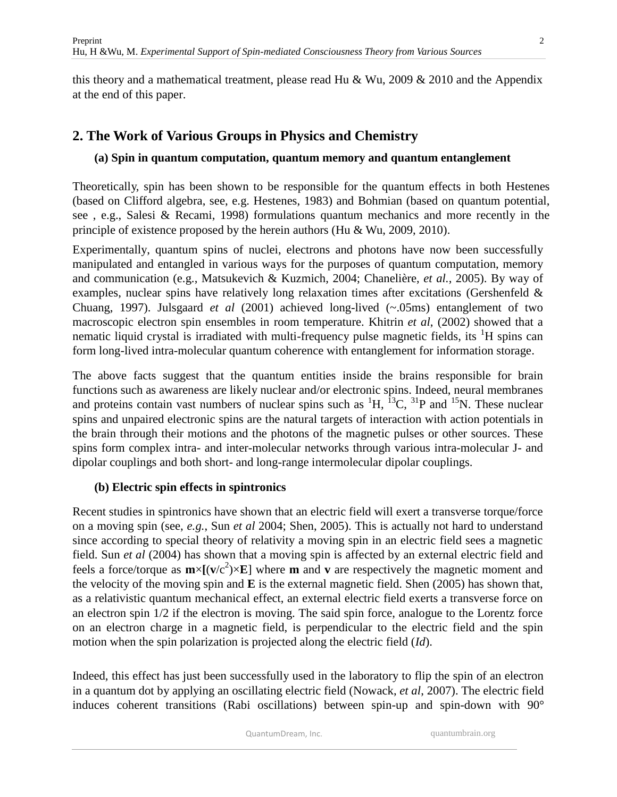this theory and a mathematical treatment, please read Hu & Wu, 2009 & 2010 and the Appendix at the end of this paper.

# **2. The Work of Various Groups in Physics and Chemistry**

## **(a) Spin in quantum computation, quantum memory and quantum entanglement**

Theoretically, spin has been shown to be responsible for the quantum effects in both Hestenes (based on Clifford algebra, see, e.g. Hestenes, 1983) and Bohmian (based on quantum potential, see , e.g., Salesi & Recami, 1998) formulations quantum mechanics and more recently in the principle of existence proposed by the herein authors (Hu & Wu, 2009, 2010).

Experimentally, quantum spins of nuclei, electrons and photons have now been successfully manipulated and entangled in various ways for the purposes of quantum computation, memory and communication (e.g., Matsukevich & Kuzmich, 2004; Chanelière, *et al.*, 2005). By way of examples, nuclear spins have relatively long relaxation times after excitations (Gershenfeld & Chuang, 1997). Julsgaard *et al* (2001) achieved long-lived (~.05ms) entanglement of two macroscopic electron spin ensembles in room temperature. Khitrin *et al*, (2002) showed that a nematic liquid crystal is irradiated with multi-frequency pulse magnetic fields, its <sup>1</sup>H spins can form long-lived intra-molecular quantum coherence with entanglement for information storage.

The above facts suggest that the quantum entities inside the brains responsible for brain functions such as awareness are likely nuclear and/or electronic spins. Indeed, neural membranes and proteins contain vast numbers of nuclear spins such as  ${}^{1}H$ ,  ${}^{13}C$ ,  ${}^{31}P$  and  ${}^{15}N$ . These nuclear spins and unpaired electronic spins are the natural targets of interaction with action potentials in the brain through their motions and the photons of the magnetic pulses or other sources. These spins form complex intra- and inter-molecular networks through various intra-molecular J- and dipolar couplings and both short- and long-range intermolecular dipolar couplings.

## **(b) Electric spin effects in spintronics**

Recent studies in spintronics have shown that an electric field will exert a transverse torque/force on a moving spin (see, *e.g.*, Sun *et al* 2004; Shen, 2005). This is actually not hard to understand since according to special theory of relativity a moving spin in an electric field sees a magnetic field. Sun *et al* (2004) has shown that a moving spin is affected by an external electric field and feels a force/torque as  $m \times [(v/c^2) \times E]$  where m and v are respectively the magnetic moment and the velocity of the moving spin and **E** is the external magnetic field. Shen (2005) has shown that, as a relativistic quantum mechanical effect, an external electric field exerts a transverse force on an electron spin 1/2 if the electron is moving. The said spin force, analogue to the Lorentz force on an electron charge in a magnetic field, is perpendicular to the electric field and the spin motion when the spin polarization is projected along the electric field (*Id*).

Indeed, this effect has just been successfully used in the laboratory to flip the spin of an electron in a quantum dot by applying an oscillating electric field (Nowack, *et al*, 2007). The electric field induces coherent transitions (Rabi oscillations) between spin-up and spin-down with 90°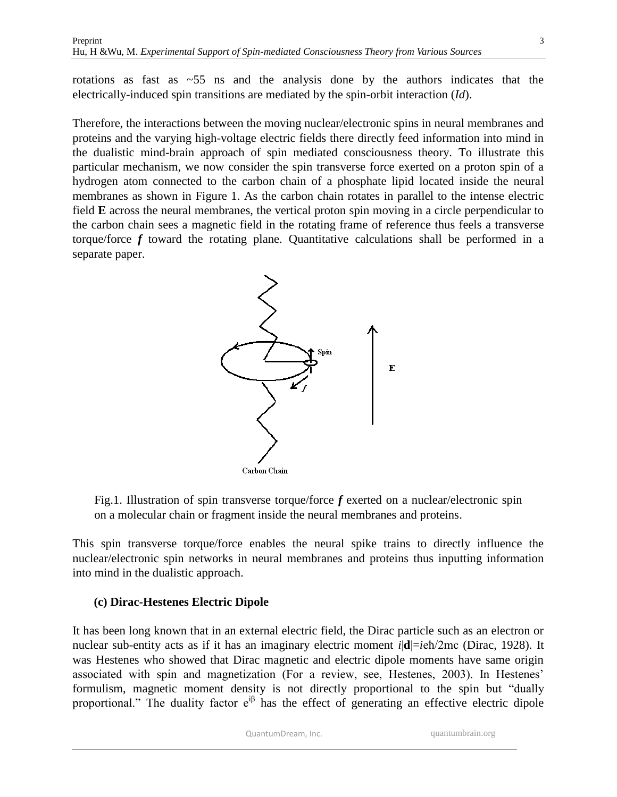rotations as fast as  $\sim$ 55 ns and the analysis done by the authors indicates that the electrically-induced spin transitions are mediated by the spin-orbit interaction (*Id*).

Therefore, the interactions between the moving nuclear/electronic spins in neural membranes and proteins and the varying high-voltage electric fields there directly feed information into mind in the dualistic mind-brain approach of spin mediated consciousness theory. To illustrate this particular mechanism, we now consider the spin transverse force exerted on a proton spin of a hydrogen atom connected to the carbon chain of a phosphate lipid located inside the neural membranes as shown in Figure 1. As the carbon chain rotates in parallel to the intense electric field **E** across the neural membranes, the vertical proton spin moving in a circle perpendicular to the carbon chain sees a magnetic field in the rotating frame of reference thus feels a transverse torque/force *f* toward the rotating plane. Quantitative calculations shall be performed in a separate paper.



Fig.1. Illustration of spin transverse torque/force *f* exerted on a nuclear/electronic spin on a molecular chain or fragment inside the neural membranes and proteins.

This spin transverse torque/force enables the neural spike trains to directly influence the nuclear/electronic spin networks in neural membranes and proteins thus inputting information into mind in the dualistic approach.

## **(c) Dirac-Hestenes Electric Dipole**

It has been long known that in an external electric field, the Dirac particle such as an electron or nuclear sub-entity acts as if it has an imaginary electric moment *i*|**d**|=*i*eħ/2mc (Dirac, 1928). It was Hestenes who showed that Dirac magnetic and electric dipole moments have same origin associated with spin and magnetization (For a review, see, Hestenes, 2003). In Hestenes' formulism, magnetic moment density is not directly proportional to the spin but "dually proportional." The duality factor  $e^{i\beta}$  has the effect of generating an effective electric dipole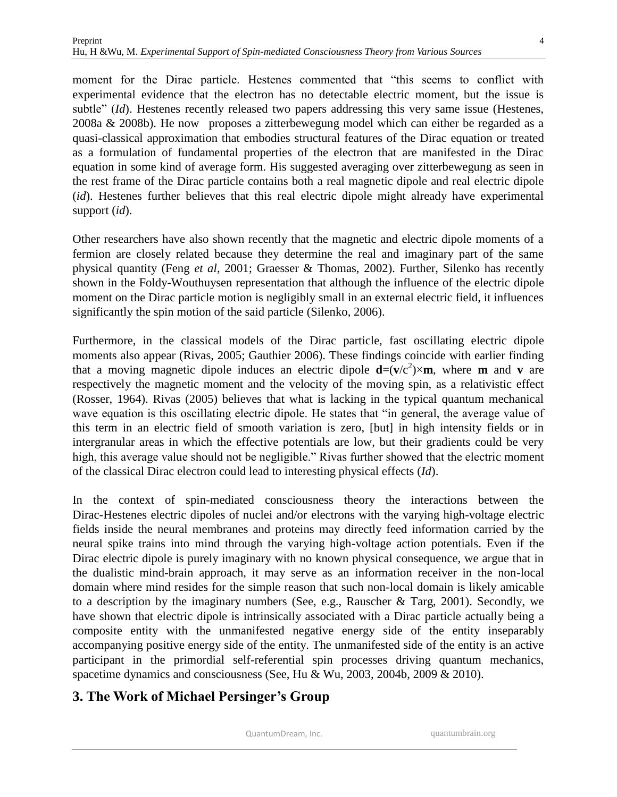moment for the Dirac particle. Hestenes commented that "this seems to conflict with experimental evidence that the electron has no detectable electric moment, but the issue is subtle" (*Id*). Hestenes recently released two papers addressing this very same issue (Hestenes, 2008a & 2008b). He now proposes a zitterbewegung model which can either be regarded as a quasi-classical approximation that embodies structural features of the Dirac equation or treated as a formulation of fundamental properties of the electron that are manifested in the Dirac equation in some kind of average form. His suggested averaging over zitterbewegung as seen in the rest frame of the Dirac particle contains both a real magnetic dipole and real electric dipole (*id*). Hestenes further believes that this real electric dipole might already have experimental support (*id*).

Other researchers have also shown recently that the magnetic and electric dipole moments of a fermion are closely related because they determine the real and imaginary part of the same physical quantity (Feng *et al*, 2001; Graesser & Thomas, 2002). Further, Silenko has recently shown in the Foldy-Wouthuysen representation that although the influence of the electric dipole moment on the Dirac particle motion is negligibly small in an external electric field, it influences significantly the spin motion of the said particle (Silenko, 2006).

Furthermore, in the classical models of the Dirac particle, fast oscillating electric dipole moments also appear (Rivas, 2005; Gauthier 2006). These findings coincide with earlier finding that a moving magnetic dipole induces an electric dipole  $\mathbf{d} = (\mathbf{v}/c^2) \times \mathbf{m}$ , where **m** and **v** are respectively the magnetic moment and the velocity of the moving spin, as a relativistic effect (Rosser, 1964). Rivas (2005) believes that what is lacking in the typical quantum mechanical wave equation is this oscillating electric dipole. He states that "in general, the average value of this term in an electric field of smooth variation is zero, [but] in high intensity fields or in intergranular areas in which the effective potentials are low, but their gradients could be very high, this average value should not be negligible." Rivas further showed that the electric moment of the classical Dirac electron could lead to interesting physical effects (*Id*).

In the context of spin-mediated consciousness theory the interactions between the Dirac-Hestenes electric dipoles of nuclei and/or electrons with the varying high-voltage electric fields inside the neural membranes and proteins may directly feed information carried by the neural spike trains into mind through the varying high-voltage action potentials. Even if the Dirac electric dipole is purely imaginary with no known physical consequence, we argue that in the dualistic mind-brain approach, it may serve as an information receiver in the non-local domain where mind resides for the simple reason that such non-local domain is likely amicable to a description by the imaginary numbers (See, e.g., Rauscher & Targ, 2001). Secondly, we have shown that electric dipole is intrinsically associated with a Dirac particle actually being a composite entity with the unmanifested negative energy side of the entity inseparably accompanying positive energy side of the entity. The unmanifested side of the entity is an active participant in the primordial self-referential spin processes driving quantum mechanics, spacetime dynamics and consciousness (See, Hu & Wu, 2003, 2004b, 2009 & 2010).

## **3. The Work of Michael Persinger's Group**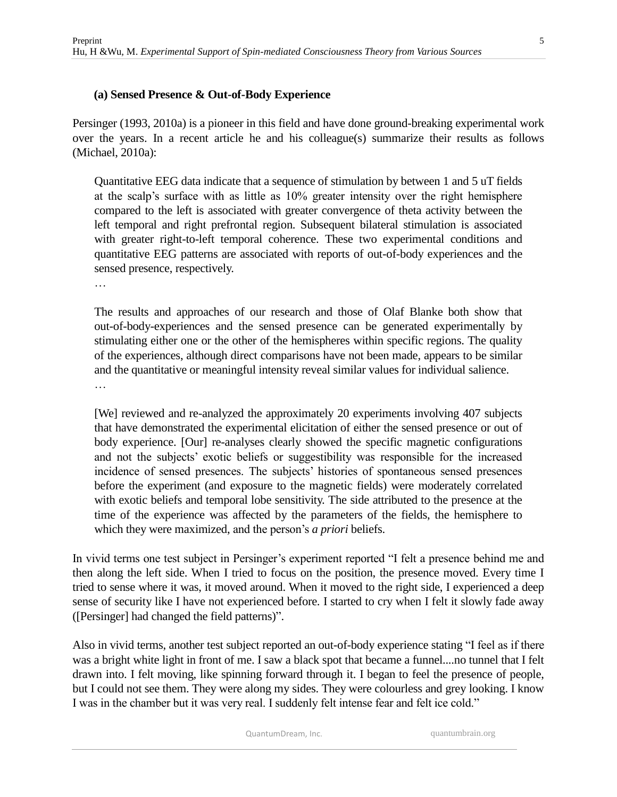Persinger (1993, 2010a) is a pioneer in this field and have done ground-breaking experimental work over the years. In a recent article he and his colleague(s) summarize their results as follows (Michael, 2010a):

Quantitative EEG data indicate that a sequence of stimulation by between 1 and 5 uT fields at the scalp's surface with as little as 10% greater intensity over the right hemisphere compared to the left is associated with greater convergence of theta activity between the left temporal and right prefrontal region. Subsequent bilateral stimulation is associated with greater right-to-left temporal coherence. These two experimental conditions and quantitative EEG patterns are associated with reports of out-of-body experiences and the sensed presence, respectively.

…

The results and approaches of our research and those of Olaf Blanke both show that out-of-body-experiences and the sensed presence can be generated experimentally by stimulating either one or the other of the hemispheres within specific regions. The quality of the experiences, although direct comparisons have not been made, appears to be similar and the quantitative or meaningful intensity reveal similar values for individual salience. …

[We] reviewed and re-analyzed the approximately 20 experiments involving 407 subjects that have demonstrated the experimental elicitation of either the sensed presence or out of body experience. [Our] re-analyses clearly showed the specific magnetic configurations and not the subjects' exotic beliefs or suggestibility was responsible for the increased incidence of sensed presences. The subjects' histories of spontaneous sensed presences before the experiment (and exposure to the magnetic fields) were moderately correlated with exotic beliefs and temporal lobe sensitivity. The side attributed to the presence at the time of the experience was affected by the parameters of the fields, the hemisphere to which they were maximized, and the person's *a priori* beliefs.

In vivid terms one test subject in Persinger's experiment reported "I felt a presence behind me and then along the left side. When I tried to focus on the position, the presence moved. Every time I tried to sense where it was, it moved around. When it moved to the right side, I experienced a deep sense of security like I have not experienced before. I started to cry when I felt it slowly fade away ([Persinger] had changed the field patterns)".

Also in vivid terms, another test subject reported an out-of-body experience stating "I feel as if there was a bright white light in front of me. I saw a black spot that became a funnel....no tunnel that I felt drawn into. I felt moving, like spinning forward through it. I began to feel the presence of people, but I could not see them. They were along my sides. They were colourless and grey looking. I know I was in the chamber but it was very real. I suddenly felt intense fear and felt ice cold."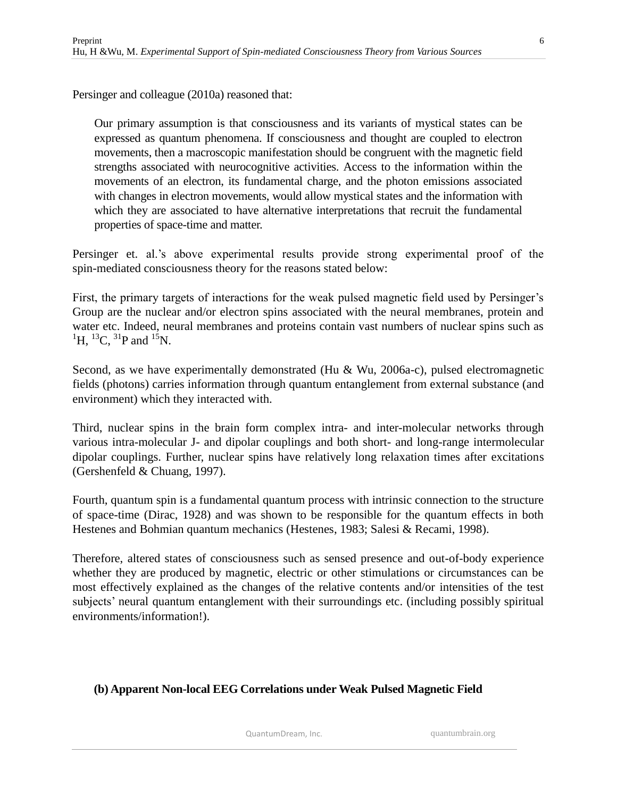Persinger and colleague (2010a) reasoned that:

Our primary assumption is that consciousness and its variants of mystical states can be expressed as quantum phenomena. If consciousness and thought are coupled to electron movements, then a macroscopic manifestation should be congruent with the magnetic field strengths associated with neurocognitive activities. Access to the information within the movements of an electron, its fundamental charge, and the photon emissions associated with changes in electron movements, would allow mystical states and the information with which they are associated to have alternative interpretations that recruit the fundamental properties of space-time and matter.

Persinger et. al.'s above experimental results provide strong experimental proof of the spin-mediated consciousness theory for the reasons stated below:

First, the primary targets of interactions for the weak pulsed magnetic field used by Persinger's Group are the nuclear and/or electron spins associated with the neural membranes, protein and water etc. Indeed, neural membranes and proteins contain vast numbers of nuclear spins such as  ${}^{1}$ H,  ${}^{13}$ C,  ${}^{31}$ P and  ${}^{15}$ N.

Second, as we have experimentally demonstrated (Hu & Wu, 2006a-c), pulsed electromagnetic fields (photons) carries information through quantum entanglement from external substance (and environment) which they interacted with.

Third, nuclear spins in the brain form complex intra- and inter-molecular networks through various intra-molecular J- and dipolar couplings and both short- and long-range intermolecular dipolar couplings. Further, nuclear spins have relatively long relaxation times after excitations (Gershenfeld & Chuang, 1997).

Fourth, quantum spin is a fundamental quantum process with intrinsic connection to the structure of space-time (Dirac, 1928) and was shown to be responsible for the quantum effects in both Hestenes and Bohmian quantum mechanics (Hestenes, 1983; Salesi & Recami, 1998).

Therefore, altered states of consciousness such as sensed presence and out-of-body experience whether they are produced by magnetic, electric or other stimulations or circumstances can be most effectively explained as the changes of the relative contents and/or intensities of the test subjects' neural quantum entanglement with their surroundings etc. (including possibly spiritual environments/information!).

#### **(b) Apparent Non-local EEG Correlations under Weak Pulsed Magnetic Field**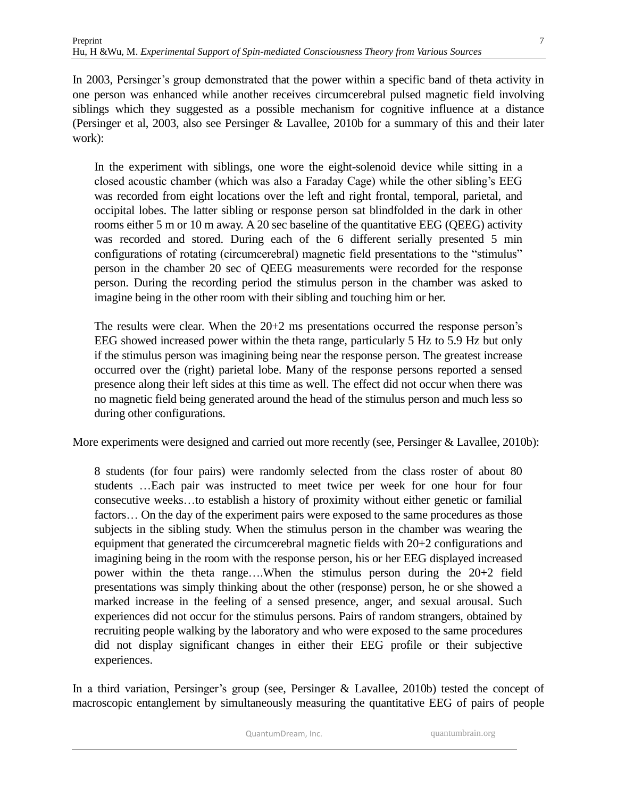In 2003, Persinger's group demonstrated that the power within a specific band of theta activity in one person was enhanced while another receives circumcerebral pulsed magnetic field involving siblings which they suggested as a possible mechanism for cognitive influence at a distance (Persinger et al, 2003, also see Persinger & Lavallee, 2010b for a summary of this and their later work):

In the experiment with siblings, one wore the eight-solenoid device while sitting in a closed acoustic chamber (which was also a Faraday Cage) while the other sibling's EEG was recorded from eight locations over the left and right frontal, temporal, parietal, and occipital lobes. The latter sibling or response person sat blindfolded in the dark in other rooms either 5 m or 10 m away. A 20 sec baseline of the quantitative EEG (QEEG) activity was recorded and stored. During each of the 6 different serially presented 5 min configurations of rotating (circumcerebral) magnetic field presentations to the "stimulus" person in the chamber 20 sec of QEEG measurements were recorded for the response person. During the recording period the stimulus person in the chamber was asked to imagine being in the other room with their sibling and touching him or her.

The results were clear. When the 20+2 ms presentations occurred the response person's EEG showed increased power within the theta range, particularly 5 Hz to 5.9 Hz but only if the stimulus person was imagining being near the response person. The greatest increase occurred over the (right) parietal lobe. Many of the response persons reported a sensed presence along their left sides at this time as well. The effect did not occur when there was no magnetic field being generated around the head of the stimulus person and much less so during other configurations.

More experiments were designed and carried out more recently (see, Persinger & Lavallee, 2010b):

8 students (for four pairs) were randomly selected from the class roster of about 80 students …Each pair was instructed to meet twice per week for one hour for four consecutive weeks…to establish a history of proximity without either genetic or familial factors… On the day of the experiment pairs were exposed to the same procedures as those subjects in the sibling study. When the stimulus person in the chamber was wearing the equipment that generated the circumcerebral magnetic fields with 20+2 configurations and imagining being in the room with the response person, his or her EEG displayed increased power within the theta range….When the stimulus person during the 20+2 field presentations was simply thinking about the other (response) person, he or she showed a marked increase in the feeling of a sensed presence, anger, and sexual arousal. Such experiences did not occur for the stimulus persons. Pairs of random strangers, obtained by recruiting people walking by the laboratory and who were exposed to the same procedures did not display significant changes in either their EEG profile or their subjective experiences.

In a third variation, Persinger's group (see, Persinger & Lavallee, 2010b) tested the concept of macroscopic entanglement by simultaneously measuring the quantitative EEG of pairs of people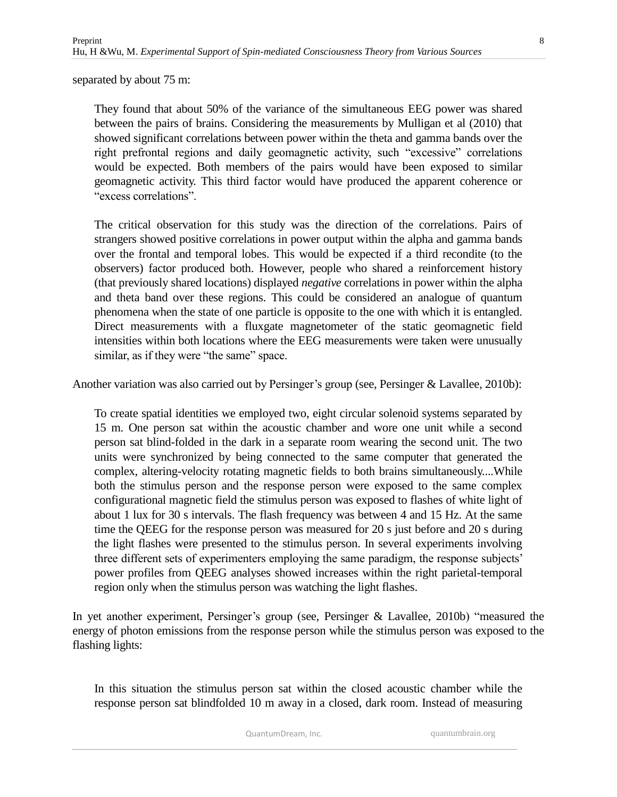separated by about 75 m:

They found that about 50% of the variance of the simultaneous EEG power was shared between the pairs of brains. Considering the measurements by Mulligan et al (2010) that showed significant correlations between power within the theta and gamma bands over the right prefrontal regions and daily geomagnetic activity, such "excessive" correlations would be expected. Both members of the pairs would have been exposed to similar geomagnetic activity. This third factor would have produced the apparent coherence or "excess correlations".

The critical observation for this study was the direction of the correlations. Pairs of strangers showed positive correlations in power output within the alpha and gamma bands over the frontal and temporal lobes. This would be expected if a third recondite (to the observers) factor produced both. However, people who shared a reinforcement history (that previously shared locations) displayed *negative* correlations in power within the alpha and theta band over these regions. This could be considered an analogue of quantum phenomena when the state of one particle is opposite to the one with which it is entangled. Direct measurements with a fluxgate magnetometer of the static geomagnetic field intensities within both locations where the EEG measurements were taken were unusually similar, as if they were "the same" space.

Another variation was also carried out by Persinger's group (see, Persinger & Lavallee, 2010b):

To create spatial identities we employed two, eight circular solenoid systems separated by 15 m. One person sat within the acoustic chamber and wore one unit while a second person sat blind-folded in the dark in a separate room wearing the second unit. The two units were synchronized by being connected to the same computer that generated the complex, altering-velocity rotating magnetic fields to both brains simultaneously....While both the stimulus person and the response person were exposed to the same complex configurational magnetic field the stimulus person was exposed to flashes of white light of about 1 lux for 30 s intervals. The flash frequency was between 4 and 15 Hz. At the same time the QEEG for the response person was measured for 20 s just before and 20 s during the light flashes were presented to the stimulus person. In several experiments involving three different sets of experimenters employing the same paradigm, the response subjects' power profiles from QEEG analyses showed increases within the right parietal-temporal region only when the stimulus person was watching the light flashes.

In yet another experiment, Persinger's group (see, Persinger & Lavallee, 2010b) "measured the energy of photon emissions from the response person while the stimulus person was exposed to the flashing lights:

In this situation the stimulus person sat within the closed acoustic chamber while the response person sat blindfolded 10 m away in a closed, dark room. Instead of measuring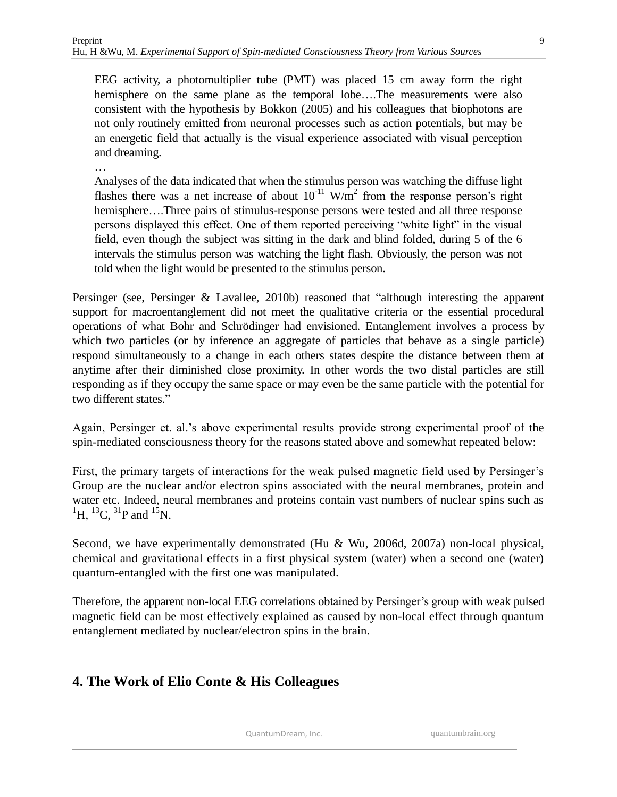EEG activity, a photomultiplier tube (PMT) was placed 15 cm away form the right hemisphere on the same plane as the temporal lobe….The measurements were also consistent with the hypothesis by Bokkon (2005) and his colleagues that biophotons are not only routinely emitted from neuronal processes such as action potentials, but may be an energetic field that actually is the visual experience associated with visual perception and dreaming.

…

Analyses of the data indicated that when the stimulus person was watching the diffuse light flashes there was a net increase of about  $10^{-11}$  W/m<sup>2</sup> from the response person's right hemisphere….Three pairs of stimulus-response persons were tested and all three response persons displayed this effect. One of them reported perceiving "white light" in the visual field, even though the subject was sitting in the dark and blind folded, during 5 of the 6 intervals the stimulus person was watching the light flash. Obviously, the person was not told when the light would be presented to the stimulus person.

Persinger (see, Persinger & Lavallee, 2010b) reasoned that "although interesting the apparent support for macroentanglement did not meet the qualitative criteria or the essential procedural operations of what Bohr and Schrödinger had envisioned. Entanglement involves a process by which two particles (or by inference an aggregate of particles that behave as a single particle) respond simultaneously to a change in each others states despite the distance between them at anytime after their diminished close proximity. In other words the two distal particles are still responding as if they occupy the same space or may even be the same particle with the potential for two different states."

Again, Persinger et. al.'s above experimental results provide strong experimental proof of the spin-mediated consciousness theory for the reasons stated above and somewhat repeated below:

First, the primary targets of interactions for the weak pulsed magnetic field used by Persinger's Group are the nuclear and/or electron spins associated with the neural membranes, protein and water etc. Indeed, neural membranes and proteins contain vast numbers of nuclear spins such as  ${}^{1}H, {}^{13}C, {}^{31}P$  and  ${}^{15}N.$ 

Second, we have experimentally demonstrated (Hu & Wu, 2006d, 2007a) non-local physical, chemical and gravitational effects in a first physical system (water) when a second one (water) quantum-entangled with the first one was manipulated.

Therefore, the apparent non-local EEG correlations obtained by Persinger's group with weak pulsed magnetic field can be most effectively explained as caused by non-local effect through quantum entanglement mediated by nuclear/electron spins in the brain.

# **4. The Work of Elio Conte & His Colleagues**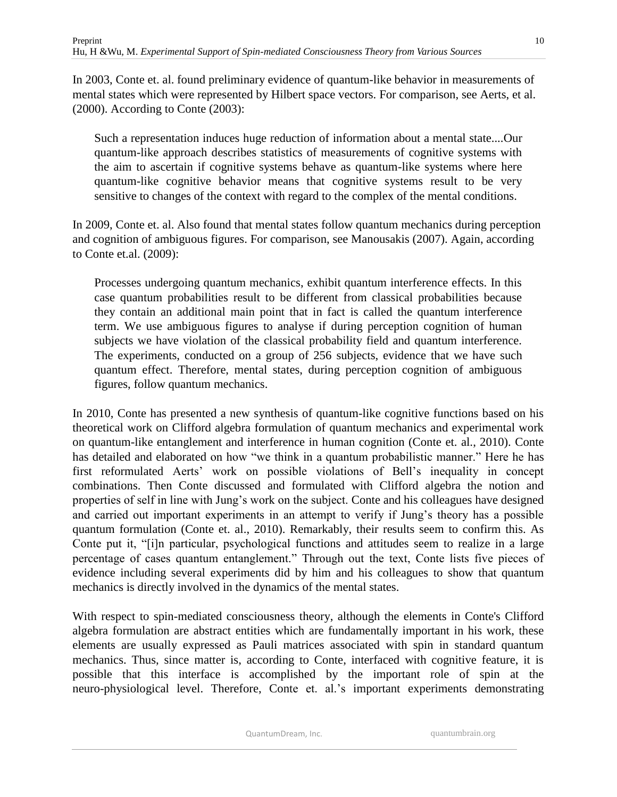10

In 2003, Conte et. al. found preliminary evidence of quantum-like behavior in measurements of mental states which were represented by Hilbert space vectors. For comparison, see Aerts, et al. (2000). According to Conte (2003):

Such a representation induces huge reduction of information about a mental state....Our quantum-like approach describes statistics of measurements of cognitive systems with the aim to ascertain if cognitive systems behave as quantum-like systems where here quantum-like cognitive behavior means that cognitive systems result to be very sensitive to changes of the context with regard to the complex of the mental conditions.

In 2009, Conte et. al. Also found that mental states follow quantum mechanics during perception and cognition of ambiguous figures. For comparison, see Manousakis (2007). Again, according to Conte et.al. (2009):

Processes undergoing quantum mechanics, exhibit quantum interference effects. In this case quantum probabilities result to be different from classical probabilities because they contain an additional main point that in fact is called the quantum interference term. We use ambiguous figures to analyse if during perception cognition of human subjects we have violation of the classical probability field and quantum interference. The experiments, conducted on a group of 256 subjects, evidence that we have such quantum effect. Therefore, mental states, during perception cognition of ambiguous figures, follow quantum mechanics.

In 2010, Conte has presented a new synthesis of quantum-like cognitive functions based on his theoretical work on Clifford algebra formulation of quantum mechanics and experimental work on quantum-like entanglement and interference in human cognition (Conte et. al., 2010). Conte has detailed and elaborated on how "we think in a quantum probabilistic manner." Here he has first reformulated Aerts' work on possible violations of Bell's inequality in concept combinations. Then Conte discussed and formulated with Clifford algebra the notion and properties of self in line with Jung's work on the subject. Conte and his colleagues have designed and carried out important experiments in an attempt to verify if Jung's theory has a possible quantum formulation (Conte et. al., 2010). Remarkably, their results seem to confirm this. As Conte put it, "[i]n particular, psychological functions and attitudes seem to realize in a large percentage of cases quantum entanglement." Through out the text, Conte lists five pieces of evidence including several experiments did by him and his colleagues to show that quantum mechanics is directly involved in the dynamics of the mental states.

With respect to spin-mediated consciousness theory, although the elements in Conte's Clifford algebra formulation are abstract entities which are fundamentally important in his work, these elements are usually expressed as Pauli matrices associated with spin in standard quantum mechanics. Thus, since matter is, according to Conte, interfaced with cognitive feature, it is possible that this interface is accomplished by the important role of spin at the neuro-physiological level. Therefore, Conte et. al.'s important experiments demonstrating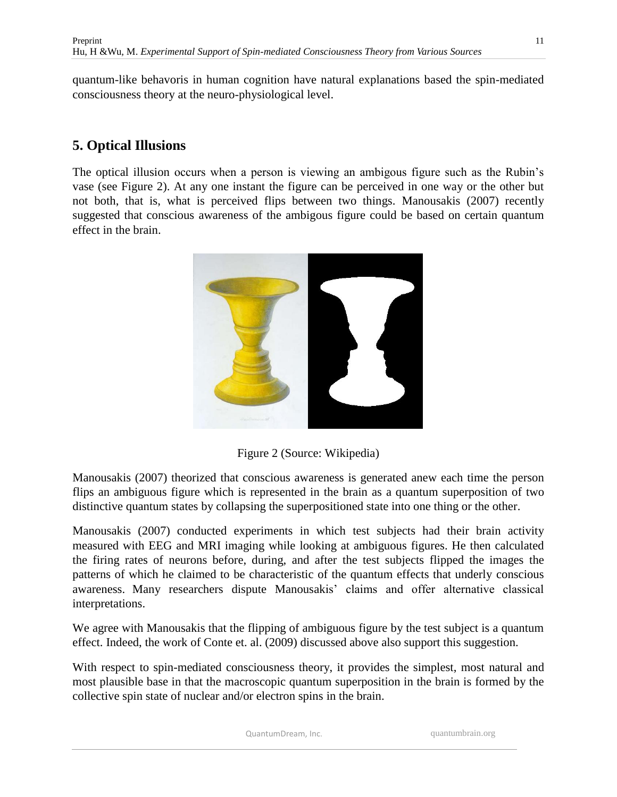quantum-like behavoris in human cognition have natural explanations based the spin-mediated consciousness theory at the neuro-physiological level.

# **5. Optical Illusions**

The optical illusion occurs when a person is viewing an ambigous figure such as the Rubin's vase (see Figure 2). At any one instant the figure can be perceived in one way or the other but not both, that is, what is perceived flips between two things. Manousakis (2007) recently suggested that conscious awareness of the ambigous figure could be based on certain quantum effect in the brain.



Figure 2 (Source: Wikipedia)

Manousakis (2007) theorized that conscious awareness is generated anew each time the person flips an ambiguous figure which is represented in the brain as a quantum superposition of two distinctive quantum states by collapsing the superpositioned state into one thing or the other.

Manousakis (2007) conducted experiments in which test subjects had their brain activity measured with EEG and MRI imaging while looking at ambiguous figures. He then calculated the firing rates of neurons before, during, and after the test subjects flipped the images the patterns of which he claimed to be characteristic of the quantum effects that underly conscious awareness. Many researchers dispute Manousakis' claims and offer alternative classical interpretations.

We agree with Manousakis that the flipping of ambiguous figure by the test subject is a quantum effect. Indeed, the work of Conte et. al. (2009) discussed above also support this suggestion.

With respect to spin-mediated consciousness theory, it provides the simplest, most natural and most plausible base in that the macroscopic quantum superposition in the brain is formed by the collective spin state of nuclear and/or electron spins in the brain.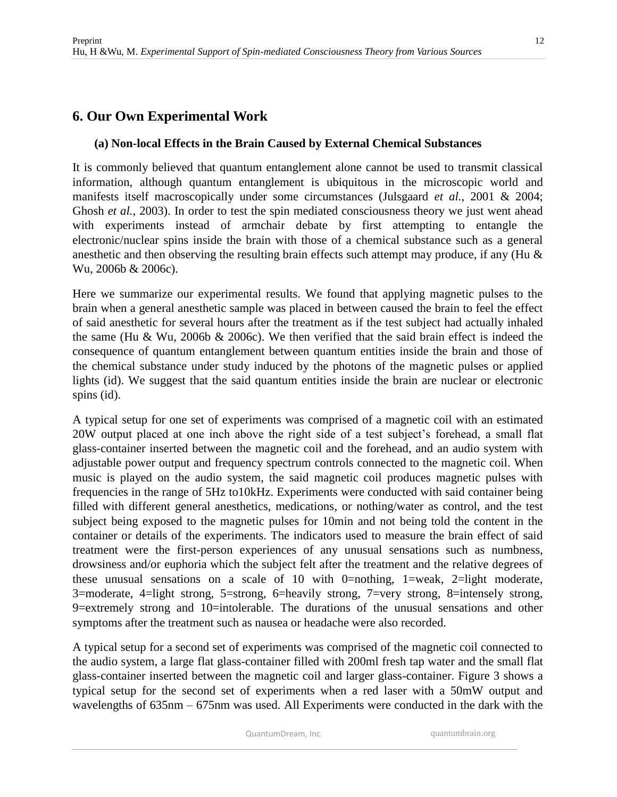## **6. Our Own Experimental Work**

#### **(a) Non-local Effects in the Brain Caused by External Chemical Substances**

It is commonly believed that quantum entanglement alone cannot be used to transmit classical information, although quantum entanglement is ubiquitous in the microscopic world and manifests itself macroscopically under some circumstances (Julsgaard *et al.*, 2001 & 2004; Ghosh *et al.*, 2003). In order to test the spin mediated consciousness theory we just went ahead with experiments instead of armchair debate by first attempting to entangle the electronic/nuclear spins inside the brain with those of a chemical substance such as a general anesthetic and then observing the resulting brain effects such attempt may produce, if any (Hu & Wu, 2006b & 2006c).

Here we summarize our experimental results. We found that applying magnetic pulses to the brain when a general anesthetic sample was placed in between caused the brain to feel the effect of said anesthetic for several hours after the treatment as if the test subject had actually inhaled the same (Hu & Wu, 2006b & 2006c). We then verified that the said brain effect is indeed the consequence of quantum entanglement between quantum entities inside the brain and those of the chemical substance under study induced by the photons of the magnetic pulses or applied lights (id). We suggest that the said quantum entities inside the brain are nuclear or electronic spins (id).

A typical setup for one set of experiments was comprised of a magnetic coil with an estimated 20W output placed at one inch above the right side of a test subject's forehead, a small flat glass-container inserted between the magnetic coil and the forehead, and an audio system with adjustable power output and frequency spectrum controls connected to the magnetic coil. When music is played on the audio system, the said magnetic coil produces magnetic pulses with frequencies in the range of 5Hz to10kHz. Experiments were conducted with said container being filled with different general anesthetics, medications, or nothing/water as control, and the test subject being exposed to the magnetic pulses for 10min and not being told the content in the container or details of the experiments. The indicators used to measure the brain effect of said treatment were the first-person experiences of any unusual sensations such as numbness, drowsiness and/or euphoria which the subject felt after the treatment and the relative degrees of these unusual sensations on a scale of 10 with 0=nothing, 1=weak, 2=light moderate, 3=moderate, 4=light strong, 5=strong, 6=heavily strong, 7=very strong, 8=intensely strong, 9=extremely strong and 10=intolerable. The durations of the unusual sensations and other symptoms after the treatment such as nausea or headache were also recorded.

A typical setup for a second set of experiments was comprised of the magnetic coil connected to the audio system, a large flat glass-container filled with 200ml fresh tap water and the small flat glass-container inserted between the magnetic coil and larger glass-container. Figure 3 shows a typical setup for the second set of experiments when a red laser with a 50mW output and wavelengths of 635nm – 675nm was used. All Experiments were conducted in the dark with the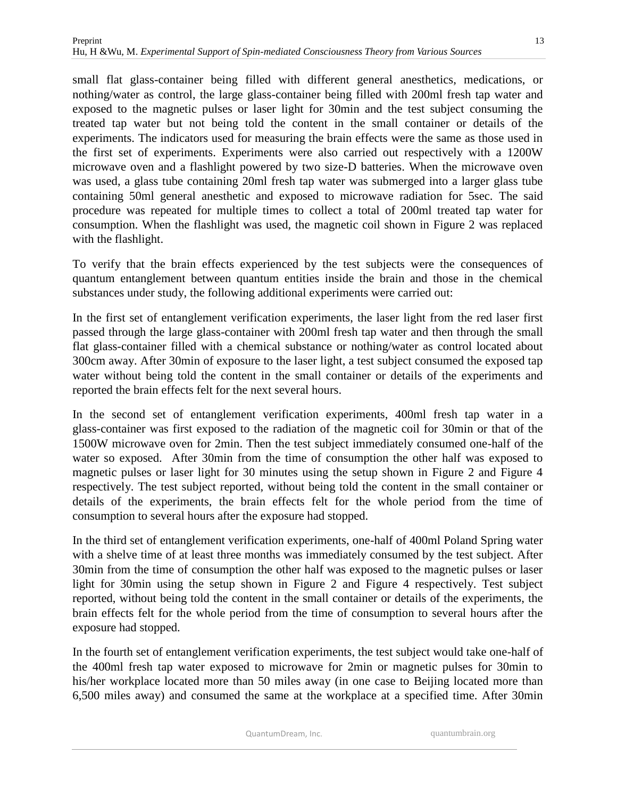small flat glass-container being filled with different general anesthetics, medications, or nothing/water as control, the large glass-container being filled with 200ml fresh tap water and exposed to the magnetic pulses or laser light for 30min and the test subject consuming the treated tap water but not being told the content in the small container or details of the experiments. The indicators used for measuring the brain effects were the same as those used in the first set of experiments. Experiments were also carried out respectively with a 1200W microwave oven and a flashlight powered by two size-D batteries. When the microwave oven was used, a glass tube containing 20ml fresh tap water was submerged into a larger glass tube containing 50ml general anesthetic and exposed to microwave radiation for 5sec. The said procedure was repeated for multiple times to collect a total of 200ml treated tap water for consumption. When the flashlight was used, the magnetic coil shown in Figure 2 was replaced with the flashlight.

To verify that the brain effects experienced by the test subjects were the consequences of quantum entanglement between quantum entities inside the brain and those in the chemical substances under study, the following additional experiments were carried out:

In the first set of entanglement verification experiments, the laser light from the red laser first passed through the large glass-container with 200ml fresh tap water and then through the small flat glass-container filled with a chemical substance or nothing/water as control located about 300cm away. After 30min of exposure to the laser light, a test subject consumed the exposed tap water without being told the content in the small container or details of the experiments and reported the brain effects felt for the next several hours.

In the second set of entanglement verification experiments, 400ml fresh tap water in a glass-container was first exposed to the radiation of the magnetic coil for 30min or that of the 1500W microwave oven for 2min. Then the test subject immediately consumed one-half of the water so exposed. After 30min from the time of consumption the other half was exposed to magnetic pulses or laser light for 30 minutes using the setup shown in Figure 2 and Figure 4 respectively. The test subject reported, without being told the content in the small container or details of the experiments, the brain effects felt for the whole period from the time of consumption to several hours after the exposure had stopped.

In the third set of entanglement verification experiments, one-half of 400ml Poland Spring water with a shelve time of at least three months was immediately consumed by the test subject. After 30min from the time of consumption the other half was exposed to the magnetic pulses or laser light for 30min using the setup shown in Figure 2 and Figure 4 respectively. Test subject reported, without being told the content in the small container or details of the experiments, the brain effects felt for the whole period from the time of consumption to several hours after the exposure had stopped.

In the fourth set of entanglement verification experiments, the test subject would take one-half of the 400ml fresh tap water exposed to microwave for 2min or magnetic pulses for 30min to his/her workplace located more than 50 miles away (in one case to Beijing located more than 6,500 miles away) and consumed the same at the workplace at a specified time. After 30min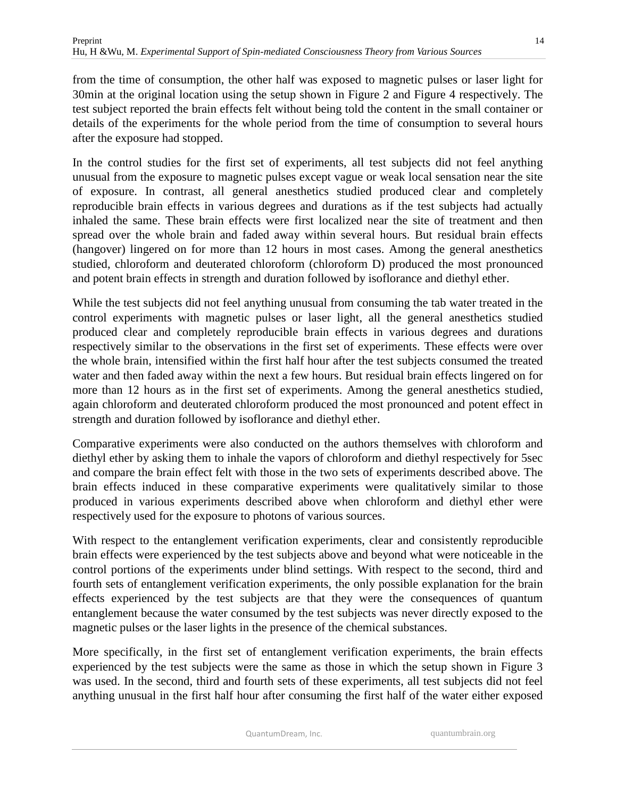from the time of consumption, the other half was exposed to magnetic pulses or laser light for 30min at the original location using the setup shown in Figure 2 and Figure 4 respectively. The test subject reported the brain effects felt without being told the content in the small container or details of the experiments for the whole period from the time of consumption to several hours after the exposure had stopped.

In the control studies for the first set of experiments, all test subjects did not feel anything unusual from the exposure to magnetic pulses except vague or weak local sensation near the site of exposure. In contrast, all general anesthetics studied produced clear and completely reproducible brain effects in various degrees and durations as if the test subjects had actually inhaled the same. These brain effects were first localized near the site of treatment and then spread over the whole brain and faded away within several hours. But residual brain effects (hangover) lingered on for more than 12 hours in most cases. Among the general anesthetics studied, chloroform and deuterated chloroform (chloroform D) produced the most pronounced and potent brain effects in strength and duration followed by isoflorance and diethyl ether.

While the test subjects did not feel anything unusual from consuming the tab water treated in the control experiments with magnetic pulses or laser light, all the general anesthetics studied produced clear and completely reproducible brain effects in various degrees and durations respectively similar to the observations in the first set of experiments. These effects were over the whole brain, intensified within the first half hour after the test subjects consumed the treated water and then faded away within the next a few hours. But residual brain effects lingered on for more than 12 hours as in the first set of experiments. Among the general anesthetics studied, again chloroform and deuterated chloroform produced the most pronounced and potent effect in strength and duration followed by isoflorance and diethyl ether.

Comparative experiments were also conducted on the authors themselves with chloroform and diethyl ether by asking them to inhale the vapors of chloroform and diethyl respectively for 5sec and compare the brain effect felt with those in the two sets of experiments described above. The brain effects induced in these comparative experiments were qualitatively similar to those produced in various experiments described above when chloroform and diethyl ether were respectively used for the exposure to photons of various sources.

With respect to the entanglement verification experiments, clear and consistently reproducible brain effects were experienced by the test subjects above and beyond what were noticeable in the control portions of the experiments under blind settings. With respect to the second, third and fourth sets of entanglement verification experiments, the only possible explanation for the brain effects experienced by the test subjects are that they were the consequences of quantum entanglement because the water consumed by the test subjects was never directly exposed to the magnetic pulses or the laser lights in the presence of the chemical substances.

More specifically, in the first set of entanglement verification experiments, the brain effects experienced by the test subjects were the same as those in which the setup shown in Figure 3 was used. In the second, third and fourth sets of these experiments, all test subjects did not feel anything unusual in the first half hour after consuming the first half of the water either exposed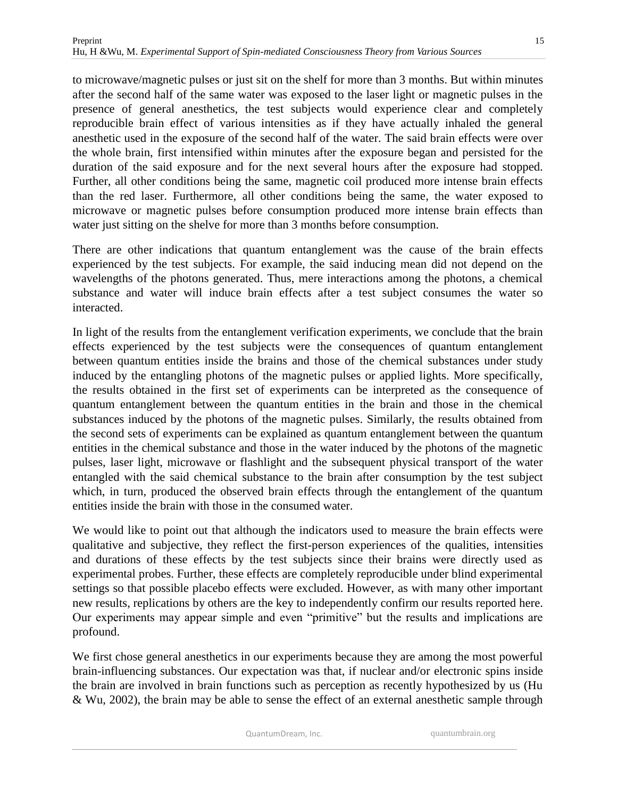to microwave/magnetic pulses or just sit on the shelf for more than 3 months. But within minutes after the second half of the same water was exposed to the laser light or magnetic pulses in the presence of general anesthetics, the test subjects would experience clear and completely reproducible brain effect of various intensities as if they have actually inhaled the general anesthetic used in the exposure of the second half of the water. The said brain effects were over the whole brain, first intensified within minutes after the exposure began and persisted for the duration of the said exposure and for the next several hours after the exposure had stopped. Further, all other conditions being the same, magnetic coil produced more intense brain effects than the red laser. Furthermore, all other conditions being the same, the water exposed to microwave or magnetic pulses before consumption produced more intense brain effects than water just sitting on the shelve for more than 3 months before consumption.

There are other indications that quantum entanglement was the cause of the brain effects experienced by the test subjects. For example, the said inducing mean did not depend on the wavelengths of the photons generated. Thus, mere interactions among the photons, a chemical substance and water will induce brain effects after a test subject consumes the water so interacted.

In light of the results from the entanglement verification experiments, we conclude that the brain effects experienced by the test subjects were the consequences of quantum entanglement between quantum entities inside the brains and those of the chemical substances under study induced by the entangling photons of the magnetic pulses or applied lights. More specifically, the results obtained in the first set of experiments can be interpreted as the consequence of quantum entanglement between the quantum entities in the brain and those in the chemical substances induced by the photons of the magnetic pulses. Similarly, the results obtained from the second sets of experiments can be explained as quantum entanglement between the quantum entities in the chemical substance and those in the water induced by the photons of the magnetic pulses, laser light, microwave or flashlight and the subsequent physical transport of the water entangled with the said chemical substance to the brain after consumption by the test subject which, in turn, produced the observed brain effects through the entanglement of the quantum entities inside the brain with those in the consumed water.

We would like to point out that although the indicators used to measure the brain effects were qualitative and subjective, they reflect the first-person experiences of the qualities, intensities and durations of these effects by the test subjects since their brains were directly used as experimental probes. Further, these effects are completely reproducible under blind experimental settings so that possible placebo effects were excluded. However, as with many other important new results, replications by others are the key to independently confirm our results reported here. Our experiments may appear simple and even "primitive" but the results and implications are profound.

We first chose general anesthetics in our experiments because they are among the most powerful brain-influencing substances. Our expectation was that, if nuclear and/or electronic spins inside the brain are involved in brain functions such as perception as recently hypothesized by us (Hu & Wu, 2002), the brain may be able to sense the effect of an external anesthetic sample through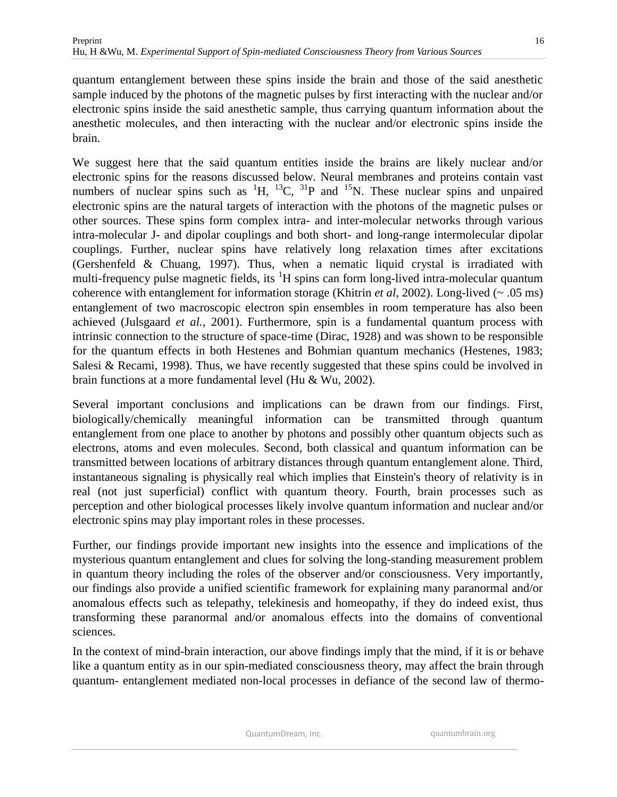quantum entanglement between these spins inside the brain and those of the said anesthetic sample induced by the photons of the magnetic pulses by first interacting with the nuclear and/or electronic spins inside the said anesthetic sample, thus carrying quantum information about the anesthetic molecules, and then interacting with the nuclear and/or electronic spins inside the brain.

We suggest here that the said quantum entities inside the brains are likely nuclear and/or electronic spins for the reasons discussed below. Neural membranes and proteins contain vast numbers of nuclear spins such as  ${}^{1}H$ ,  ${}^{13}C$ ,  ${}^{31}P$  and  ${}^{15}N$ . These nuclear spins and unpaired electronic spins are the natural targets of interaction with the photons of the magnetic pulses or other sources. These spins form complex intra- and inter-molecular networks through various intra-molecular J- and dipolar couplings and both short- and long-range intermolecular dipolar couplings. Further, nuclear spins have relatively long relaxation times after excitations (Gershenfeld & Chuang, 1997). Thus, when a nematic liquid crystal is irradiated with multi-frequency pulse magnetic fields, its <sup>1</sup>H spins can form long-lived intra-molecular quantum coherence with entanglement for information storage (Khitrin *et al*, 2002). Long-lived (~ .05 ms) entanglement of two macroscopic electron spin ensembles in room temperature has also been achieved (Julsgaard *et al.*, 2001). Furthermore, spin is a fundamental quantum process with intrinsic connection to the structure of space-time (Dirac, 1928) and was shown to be responsible for the quantum effects in both Hestenes and Bohmian quantum mechanics (Hestenes, 1983; Salesi & Recami, 1998). Thus, we have recently suggested that these spins could be involved in brain functions at a more fundamental level (Hu & Wu, 2002).

Several important conclusions and implications can be drawn from our findings. First, biologically/chemically meaningful information can be transmitted through quantum entanglement from one place to another by photons and possibly other quantum objects such as electrons, atoms and even molecules. Second, both classical and quantum information can be transmitted between locations of arbitrary distances through quantum entanglement alone. Third, instantaneous signaling is physically real which implies that Einstein's theory of relativity is in real (not just superficial) conflict with quantum theory. Fourth, brain processes such as perception and other biological processes likely involve quantum information and nuclear and/or electronic spins may play important roles in these processes.

Further, our findings provide important new insights into the essence and implications of the mysterious quantum entanglement and clues for solving the long-standing measurement problem in quantum theory including the roles of the observer and/or consciousness. Very importantly, our findings also provide a unified scientific framework for explaining many paranormal and/or anomalous effects such as telepathy, telekinesis and homeopathy, if they do indeed exist, thus transforming these paranormal and/or anomalous effects into the domains of conventional sciences.

In the context of mind-brain interaction, our above findings imply that the mind, if it is or behave like a quantum entity as in our spin-mediated consciousness theory, may affect the brain through quantum- entanglement mediated non-local processes in defiance of the second law of thermo-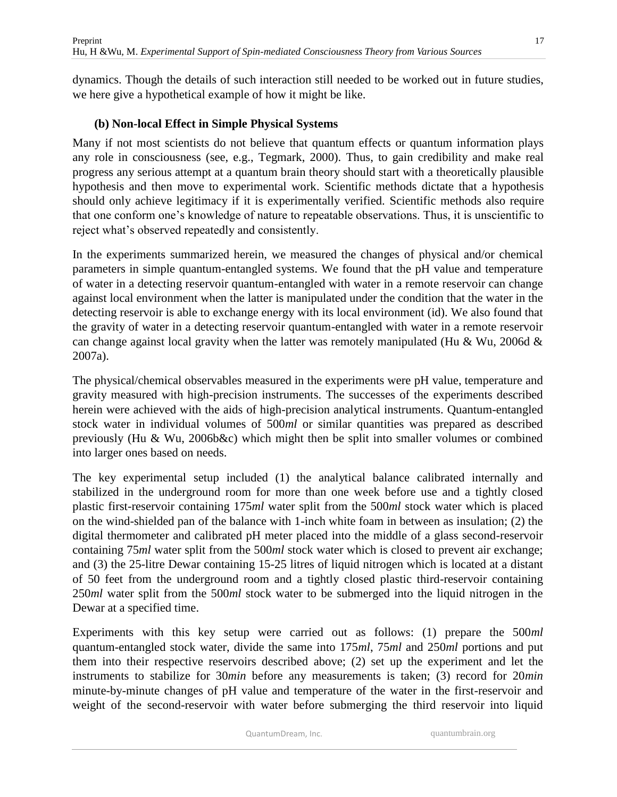dynamics. Though the details of such interaction still needed to be worked out in future studies, we here give a hypothetical example of how it might be like.

### **(b) Non-local Effect in Simple Physical Systems**

Many if not most scientists do not believe that quantum effects or quantum information plays any role in consciousness (see, e.g., Tegmark, 2000). Thus, to gain credibility and make real progress any serious attempt at a quantum brain theory should start with a theoretically plausible hypothesis and then move to experimental work. Scientific methods dictate that a hypothesis should only achieve legitimacy if it is experimentally verified. Scientific methods also require that one conform one's knowledge of nature to repeatable observations. Thus, it is unscientific to reject what's observed repeatedly and consistently.

In the experiments summarized herein, we measured the changes of physical and/or chemical parameters in simple quantum-entangled systems. We found that the pH value and temperature of water in a detecting reservoir quantum-entangled with water in a remote reservoir can change against local environment when the latter is manipulated under the condition that the water in the detecting reservoir is able to exchange energy with its local environment (id). We also found that the gravity of water in a detecting reservoir quantum-entangled with water in a remote reservoir can change against local gravity when the latter was remotely manipulated (Hu & Wu, 2006d & 2007a).

The physical/chemical observables measured in the experiments were pH value, temperature and gravity measured with high-precision instruments. The successes of the experiments described herein were achieved with the aids of high-precision analytical instruments. Quantum-entangled stock water in individual volumes of 500*ml* or similar quantities was prepared as described previously (Hu & Wu, 2006b&c) which might then be split into smaller volumes or combined into larger ones based on needs.

The key experimental setup included (1) the analytical balance calibrated internally and stabilized in the underground room for more than one week before use and a tightly closed plastic first-reservoir containing 175*ml* water split from the 500*ml* stock water which is placed on the wind-shielded pan of the balance with 1-inch white foam in between as insulation; (2) the digital thermometer and calibrated pH meter placed into the middle of a glass second-reservoir containing 75*ml* water split from the 500*ml* stock water which is closed to prevent air exchange; and (3) the 25-litre Dewar containing 15-25 litres of liquid nitrogen which is located at a distant of 50 feet from the underground room and a tightly closed plastic third-reservoir containing 250*ml* water split from the 500*ml* stock water to be submerged into the liquid nitrogen in the Dewar at a specified time.

Experiments with this key setup were carried out as follows: (1) prepare the 500*ml* quantum-entangled stock water, divide the same into 175*ml*, 75*ml* and 250*ml* portions and put them into their respective reservoirs described above; (2) set up the experiment and let the instruments to stabilize for 30*min* before any measurements is taken; (3) record for 20*min*  minute-by-minute changes of pH value and temperature of the water in the first-reservoir and weight of the second-reservoir with water before submerging the third reservoir into liquid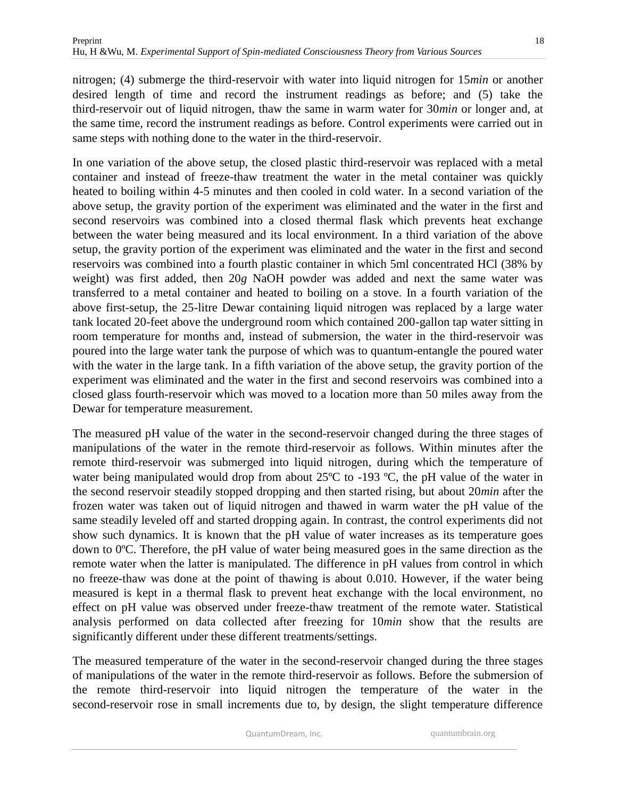nitrogen; (4) submerge the third-reservoir with water into liquid nitrogen for 15*min* or another desired length of time and record the instrument readings as before; and (5) take the third-reservoir out of liquid nitrogen, thaw the same in warm water for 30*min* or longer and, at the same time, record the instrument readings as before. Control experiments were carried out in same steps with nothing done to the water in the third-reservoir.

In one variation of the above setup, the closed plastic third-reservoir was replaced with a metal container and instead of freeze-thaw treatment the water in the metal container was quickly heated to boiling within 4-5 minutes and then cooled in cold water. In a second variation of the above setup, the gravity portion of the experiment was eliminated and the water in the first and second reservoirs was combined into a closed thermal flask which prevents heat exchange between the water being measured and its local environment. In a third variation of the above setup, the gravity portion of the experiment was eliminated and the water in the first and second reservoirs was combined into a fourth plastic container in which 5ml concentrated HCl (38% by weight) was first added, then 20*g* NaOH powder was added and next the same water was transferred to a metal container and heated to boiling on a stove. In a fourth variation of the above first-setup, the 25-litre Dewar containing liquid nitrogen was replaced by a large water tank located 20-feet above the underground room which contained 200-gallon tap water sitting in room temperature for months and, instead of submersion, the water in the third-reservoir was poured into the large water tank the purpose of which was to quantum-entangle the poured water with the water in the large tank. In a fifth variation of the above setup, the gravity portion of the experiment was eliminated and the water in the first and second reservoirs was combined into a closed glass fourth-reservoir which was moved to a location more than 50 miles away from the Dewar for temperature measurement.

The measured pH value of the water in the second-reservoir changed during the three stages of manipulations of the water in the remote third-reservoir as follows. Within minutes after the remote third-reservoir was submerged into liquid nitrogen, during which the temperature of water being manipulated would drop from about  $25^{\circ}$ C to -193  $^{\circ}$ C, the pH value of the water in the second reservoir steadily stopped dropping and then started rising, but about 20*min* after the frozen water was taken out of liquid nitrogen and thawed in warm water the pH value of the same steadily leveled off and started dropping again. In contrast, the control experiments did not show such dynamics. It is known that the pH value of water increases as its temperature goes down to 0ºC. Therefore, the pH value of water being measured goes in the same direction as the remote water when the latter is manipulated. The difference in pH values from control in which no freeze-thaw was done at the point of thawing is about 0.010. However, if the water being measured is kept in a thermal flask to prevent heat exchange with the local environment, no effect on pH value was observed under freeze-thaw treatment of the remote water. Statistical analysis performed on data collected after freezing for 10*min* show that the results are significantly different under these different treatments/settings.

The measured temperature of the water in the second-reservoir changed during the three stages of manipulations of the water in the remote third-reservoir as follows. Before the submersion of the remote third-reservoir into liquid nitrogen the temperature of the water in the second-reservoir rose in small increments due to, by design, the slight temperature difference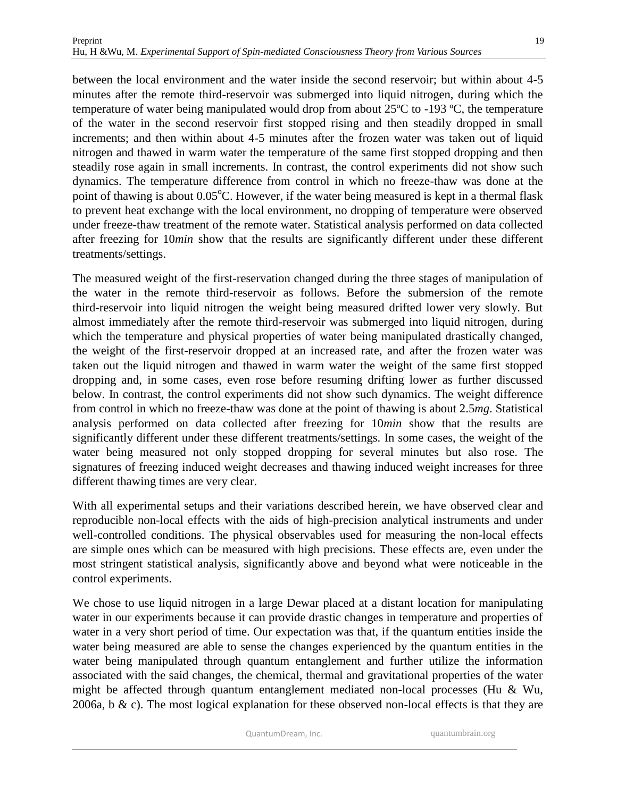19

between the local environment and the water inside the second reservoir; but within about 4-5 minutes after the remote third-reservoir was submerged into liquid nitrogen, during which the temperature of water being manipulated would drop from about 25ºC to -193 ºC, the temperature of the water in the second reservoir first stopped rising and then steadily dropped in small increments; and then within about 4-5 minutes after the frozen water was taken out of liquid nitrogen and thawed in warm water the temperature of the same first stopped dropping and then steadily rose again in small increments. In contrast, the control experiments did not show such dynamics. The temperature difference from control in which no freeze-thaw was done at the point of thawing is about  $0.05^{\circ}$ C. However, if the water being measured is kept in a thermal flask to prevent heat exchange with the local environment, no dropping of temperature were observed under freeze-thaw treatment of the remote water. Statistical analysis performed on data collected after freezing for 10*min* show that the results are significantly different under these different treatments/settings.

The measured weight of the first-reservation changed during the three stages of manipulation of the water in the remote third-reservoir as follows. Before the submersion of the remote third-reservoir into liquid nitrogen the weight being measured drifted lower very slowly. But almost immediately after the remote third-reservoir was submerged into liquid nitrogen, during which the temperature and physical properties of water being manipulated drastically changed, the weight of the first-reservoir dropped at an increased rate, and after the frozen water was taken out the liquid nitrogen and thawed in warm water the weight of the same first stopped dropping and, in some cases, even rose before resuming drifting lower as further discussed below. In contrast, the control experiments did not show such dynamics. The weight difference from control in which no freeze-thaw was done at the point of thawing is about 2.5*mg*. Statistical analysis performed on data collected after freezing for 10*min* show that the results are significantly different under these different treatments/settings. In some cases, the weight of the water being measured not only stopped dropping for several minutes but also rose. The signatures of freezing induced weight decreases and thawing induced weight increases for three different thawing times are very clear.

With all experimental setups and their variations described herein, we have observed clear and reproducible non-local effects with the aids of high-precision analytical instruments and under well-controlled conditions. The physical observables used for measuring the non-local effects are simple ones which can be measured with high precisions. These effects are, even under the most stringent statistical analysis, significantly above and beyond what were noticeable in the control experiments.

We chose to use liquid nitrogen in a large Dewar placed at a distant location for manipulating water in our experiments because it can provide drastic changes in temperature and properties of water in a very short period of time. Our expectation was that, if the quantum entities inside the water being measured are able to sense the changes experienced by the quantum entities in the water being manipulated through quantum entanglement and further utilize the information associated with the said changes, the chemical, thermal and gravitational properties of the water might be affected through quantum entanglement mediated non-local processes (Hu & Wu, 2006a, b  $\&$  c). The most logical explanation for these observed non-local effects is that they are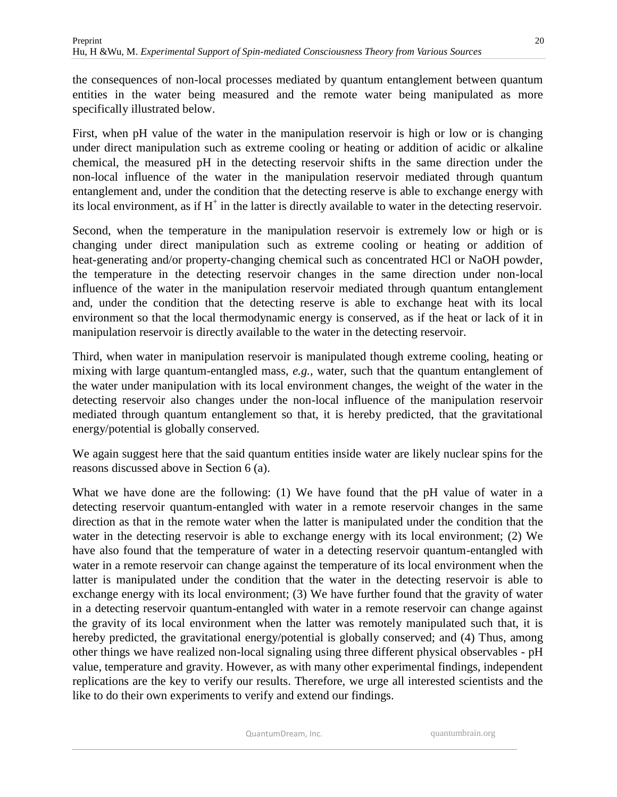the consequences of non-local processes mediated by quantum entanglement between quantum entities in the water being measured and the remote water being manipulated as more specifically illustrated below.

First, when pH value of the water in the manipulation reservoir is high or low or is changing under direct manipulation such as extreme cooling or heating or addition of acidic or alkaline chemical, the measured pH in the detecting reservoir shifts in the same direction under the non-local influence of the water in the manipulation reservoir mediated through quantum entanglement and, under the condition that the detecting reserve is able to exchange energy with its local environment, as if  $H^+$  in the latter is directly available to water in the detecting reservoir.

Second, when the temperature in the manipulation reservoir is extremely low or high or is changing under direct manipulation such as extreme cooling or heating or addition of heat-generating and/or property-changing chemical such as concentrated HCl or NaOH powder, the temperature in the detecting reservoir changes in the same direction under non-local influence of the water in the manipulation reservoir mediated through quantum entanglement and, under the condition that the detecting reserve is able to exchange heat with its local environment so that the local thermodynamic energy is conserved, as if the heat or lack of it in manipulation reservoir is directly available to the water in the detecting reservoir.

Third, when water in manipulation reservoir is manipulated though extreme cooling, heating or mixing with large quantum-entangled mass, *e.g.*, water, such that the quantum entanglement of the water under manipulation with its local environment changes, the weight of the water in the detecting reservoir also changes under the non-local influence of the manipulation reservoir mediated through quantum entanglement so that, it is hereby predicted, that the gravitational energy/potential is globally conserved.

We again suggest here that the said quantum entities inside water are likely nuclear spins for the reasons discussed above in Section 6 (a).

What we have done are the following: (1) We have found that the pH value of water in a detecting reservoir quantum-entangled with water in a remote reservoir changes in the same direction as that in the remote water when the latter is manipulated under the condition that the water in the detecting reservoir is able to exchange energy with its local environment; (2) We have also found that the temperature of water in a detecting reservoir quantum-entangled with water in a remote reservoir can change against the temperature of its local environment when the latter is manipulated under the condition that the water in the detecting reservoir is able to exchange energy with its local environment; (3) We have further found that the gravity of water in a detecting reservoir quantum-entangled with water in a remote reservoir can change against the gravity of its local environment when the latter was remotely manipulated such that, it is hereby predicted, the gravitational energy/potential is globally conserved; and (4) Thus, among other things we have realized non-local signaling using three different physical observables - pH value, temperature and gravity. However, as with many other experimental findings, independent replications are the key to verify our results. Therefore, we urge all interested scientists and the like to do their own experiments to verify and extend our findings.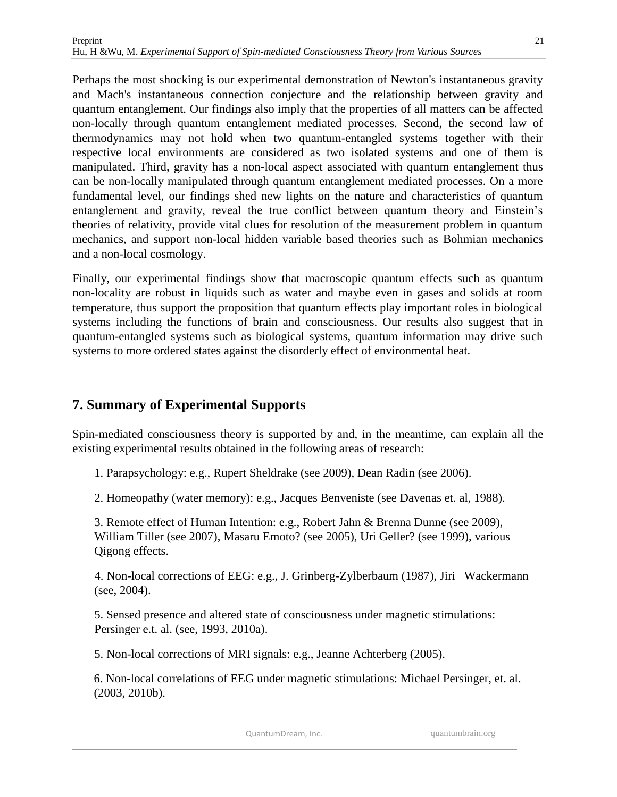Perhaps the most shocking is our experimental demonstration of Newton's instantaneous gravity and Mach's instantaneous connection conjecture and the relationship between gravity and quantum entanglement. Our findings also imply that the properties of all matters can be affected non-locally through quantum entanglement mediated processes. Second, the second law of thermodynamics may not hold when two quantum-entangled systems together with their respective local environments are considered as two isolated systems and one of them is manipulated. Third, gravity has a non-local aspect associated with quantum entanglement thus can be non-locally manipulated through quantum entanglement mediated processes. On a more fundamental level, our findings shed new lights on the nature and characteristics of quantum entanglement and gravity, reveal the true conflict between quantum theory and Einstein's theories of relativity, provide vital clues for resolution of the measurement problem in quantum mechanics, and support non-local hidden variable based theories such as Bohmian mechanics and a non-local cosmology.

Finally, our experimental findings show that macroscopic quantum effects such as quantum non-locality are robust in liquids such as water and maybe even in gases and solids at room temperature, thus support the proposition that quantum effects play important roles in biological systems including the functions of brain and consciousness. Our results also suggest that in quantum-entangled systems such as biological systems, quantum information may drive such systems to more ordered states against the disorderly effect of environmental heat.

# **7. Summary of Experimental Supports**

Spin-mediated consciousness theory is supported by and, in the meantime, can explain all the existing experimental results obtained in the following areas of research:

1. Parapsychology: e.g., Rupert Sheldrake (see 2009), Dean Radin (see 2006).

2. Homeopathy (water memory): e.g., Jacques Benveniste (see Davenas et. al, 1988).

3. Remote effect of Human Intention: e.g., Robert Jahn & Brenna Dunne (see 2009), William Tiller (see 2007), Masaru Emoto? (see 2005), Uri Geller? (see 1999), various Qigong effects.

4. Non-local corrections of EEG: e.g., J. Grinberg-Zylberbaum (1987), Jiri Wackermann (see, 2004).

5. Sensed presence and altered state of consciousness under magnetic stimulations: Persinger e.t. al. (see, 1993, 2010a).

5. Non-local corrections of MRI signals: e.g., Jeanne Achterberg (2005).

6. Non-local correlations of EEG under magnetic stimulations: Michael Persinger, et. al. (2003, 2010b).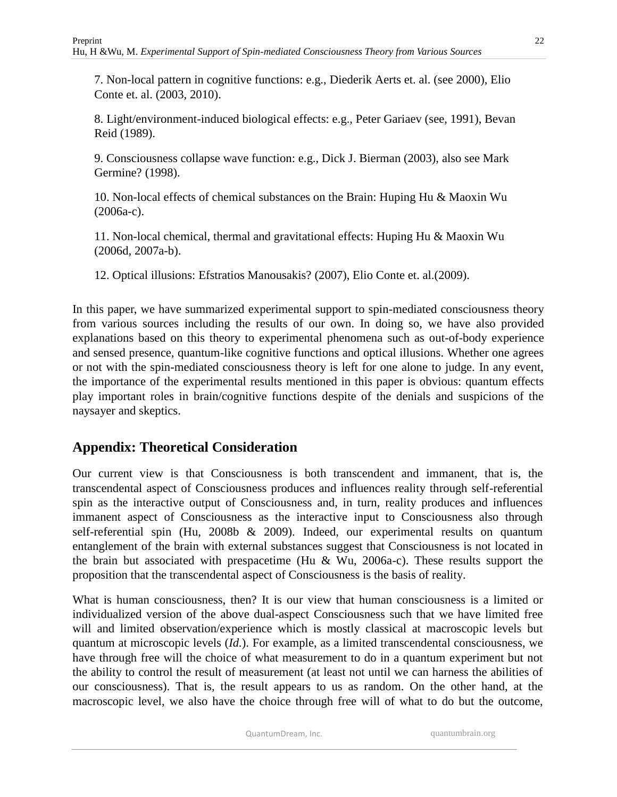7. Non-local pattern in cognitive functions: e.g., Diederik Aerts et. al. (see 2000), Elio Conte et. al. (2003, 2010).

8. Light/environment-induced biological effects: e.g., Peter Gariaev (see, 1991), Bevan Reid (1989).

9. Consciousness collapse wave function: e.g., Dick J. Bierman (2003), also see Mark Germine? (1998).

10. Non-local effects of chemical substances on the Brain: Huping Hu & Maoxin Wu (2006a-c).

11. Non-local chemical, thermal and gravitational effects: Huping Hu & Maoxin Wu (2006d, 2007a-b).

12. Optical illusions: Efstratios Manousakis? (2007), Elio Conte et. al.(2009).

In this paper, we have summarized experimental support to spin-mediated consciousness theory from various sources including the results of our own. In doing so, we have also provided explanations based on this theory to experimental phenomena such as out-of-body experience and sensed presence, quantum-like cognitive functions and optical illusions. Whether one agrees or not with the spin-mediated consciousness theory is left for one alone to judge. In any event, the importance of the experimental results mentioned in this paper is obvious: quantum effects play important roles in brain/cognitive functions despite of the denials and suspicions of the naysayer and skeptics.

# **Appendix: Theoretical Consideration**

Our current view is that Consciousness is both transcendent and immanent, that is, the transcendental aspect of Consciousness produces and influences reality through self-referential spin as the interactive output of Consciousness and, in turn, reality produces and influences immanent aspect of Consciousness as the interactive input to Consciousness also through self-referential spin (Hu, 2008b & 2009). Indeed, our experimental results on quantum entanglement of the brain with external substances suggest that Consciousness is not located in the brain but associated with prespacetime (Hu & Wu, 2006a-c). These results support the proposition that the transcendental aspect of Consciousness is the basis of reality.

What is human consciousness, then? It is our view that human consciousness is a limited or individualized version of the above dual-aspect Consciousness such that we have limited free will and limited observation/experience which is mostly classical at macroscopic levels but quantum at microscopic levels (*Id.*). For example, as a limited transcendental consciousness, we have through free will the choice of what measurement to do in a quantum experiment but not the ability to control the result of measurement (at least not until we can harness the abilities of our consciousness). That is, the result appears to us as random. On the other hand, at the macroscopic level, we also have the choice through free will of what to do but the outcome,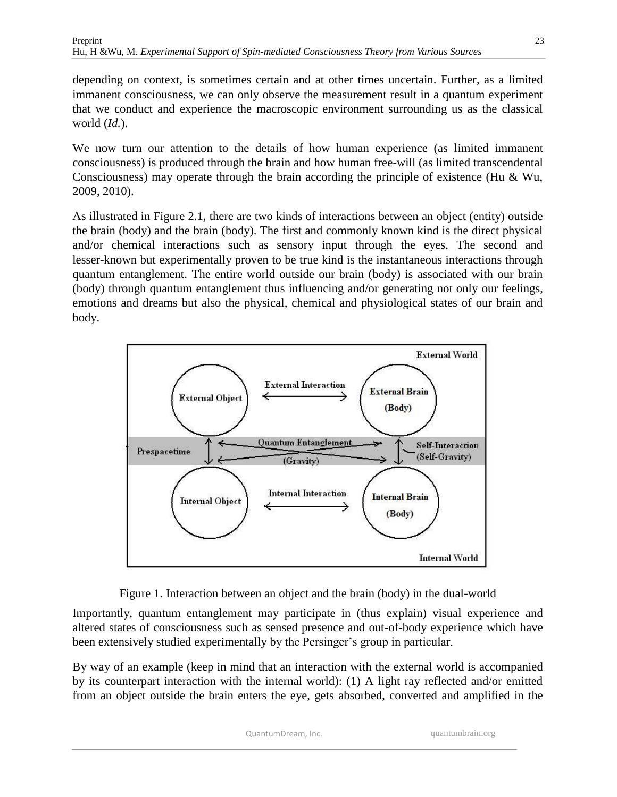depending on context, is sometimes certain and at other times uncertain. Further, as a limited immanent consciousness, we can only observe the measurement result in a quantum experiment that we conduct and experience the macroscopic environment surrounding us as the classical world (*Id.*).

We now turn our attention to the details of how human experience (as limited immanent consciousness) is produced through the brain and how human free-will (as limited transcendental Consciousness) may operate through the brain according the principle of existence (Hu & Wu, 2009, 2010).

As illustrated in Figure 2.1, there are two kinds of interactions between an object (entity) outside the brain (body) and the brain (body). The first and commonly known kind is the direct physical and/or chemical interactions such as sensory input through the eyes. The second and lesser-known but experimentally proven to be true kind is the instantaneous interactions through quantum entanglement. The entire world outside our brain (body) is associated with our brain (body) through quantum entanglement thus influencing and/or generating not only our feelings, emotions and dreams but also the physical, chemical and physiological states of our brain and body.





Importantly, quantum entanglement may participate in (thus explain) visual experience and altered states of consciousness such as sensed presence and out-of-body experience which have been extensively studied experimentally by the Persinger's group in particular.

By way of an example (keep in mind that an interaction with the external world is accompanied by its counterpart interaction with the internal world): (1) A light ray reflected and/or emitted from an object outside the brain enters the eye, gets absorbed, converted and amplified in the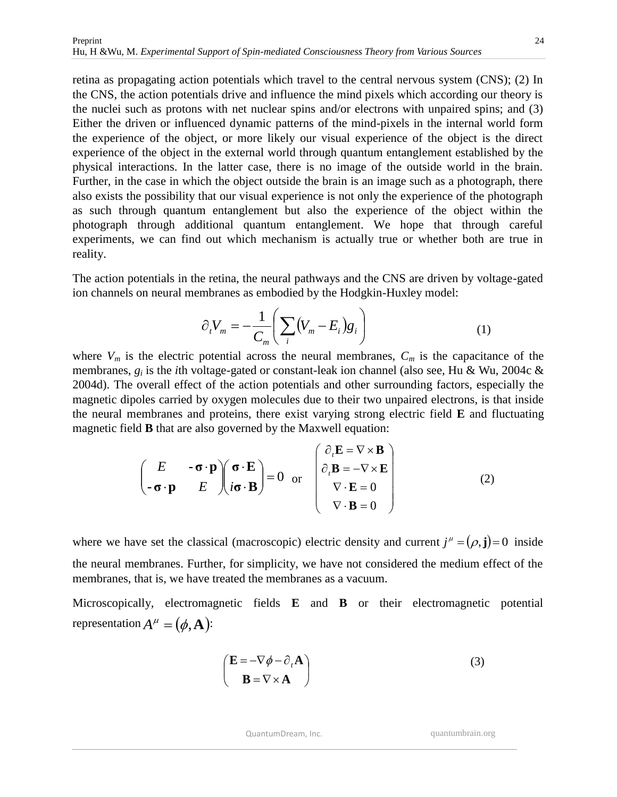retina as propagating action potentials which travel to the central nervous system (CNS); (2) In the CNS, the action potentials drive and influence the mind pixels which according our theory is the nuclei such as protons with net nuclear spins and/or electrons with unpaired spins; and (3) Either the driven or influenced dynamic patterns of the mind-pixels in the internal world form the experience of the object, or more likely our visual experience of the object is the direct experience of the object in the external world through quantum entanglement established by the physical interactions. In the latter case, there is no image of the outside world in the brain. Further, in the case in which the object outside the brain is an image such as a photograph, there also exists the possibility that our visual experience is not only the experience of the photograph as such through quantum entanglement but also the experience of the object within the photograph through additional quantum entanglement. We hope that through careful experiments, we can find out which mechanism is actually true or whether both are true in reality.

The action potentials in the retina, the neural pathways and the CNS are driven by voltage-gated ion channels on neural membranes as embodied by the Hodgkin-Huxley model:

$$
\partial_t V_m = -\frac{1}{C_m} \bigg( \sum_i (V_m - E_i) g_i \bigg) \tag{1}
$$

where  $V_m$  is the electric potential across the neural membranes,  $C_m$  is the capacitance of the membranes, *g<sup>i</sup>* is the *i*th voltage-gated or constant-leak ion channel (also see, Hu & Wu, 2004c & 2004d). The overall effect of the action potentials and other surrounding factors, especially the magnetic dipoles carried by oxygen molecules due to their two unpaired electrons, is that inside the neural membranes and proteins, there exist varying strong electric field **E** and fluctuating magnetic field **B** that are also governed by the Maxwell equation:

$$
\begin{pmatrix}\nE & -\boldsymbol{\sigma} \cdot \mathbf{p} \\
-\boldsymbol{\sigma} \cdot \mathbf{p} & E\n\end{pmatrix}\n\begin{pmatrix}\n\boldsymbol{\sigma} \cdot \mathbf{E} \\
i\boldsymbol{\sigma} \cdot \mathbf{B}\n\end{pmatrix} = 0 \text{ or } \begin{pmatrix}\n\partial_t \mathbf{E} = \nabla \times \mathbf{B} \\
\partial_t \mathbf{B} = -\nabla \times \mathbf{E} \\
\nabla \cdot \mathbf{E} = 0 \\
\nabla \cdot \mathbf{B} = 0\n\end{pmatrix}
$$
\n(2)

where we have set the classical (macroscopic) electric density and current  $j^{\mu} = (\rho, \mathbf{j}) = 0$  inside the neural membranes. Further, for simplicity, we have not considered the medium effect of the membranes, that is, we have treated the membranes as a vacuum.

Microscopically, electromagnetic fields **E** and **B** or their electromagnetic potential representation  $A^{\mu} = (\phi, \mathbf{A})$ :

$$
\begin{pmatrix} \mathbf{E} = -\nabla \phi - \partial_t \mathbf{A} \\ \mathbf{B} = \nabla \times \mathbf{A} \end{pmatrix}
$$
 (3)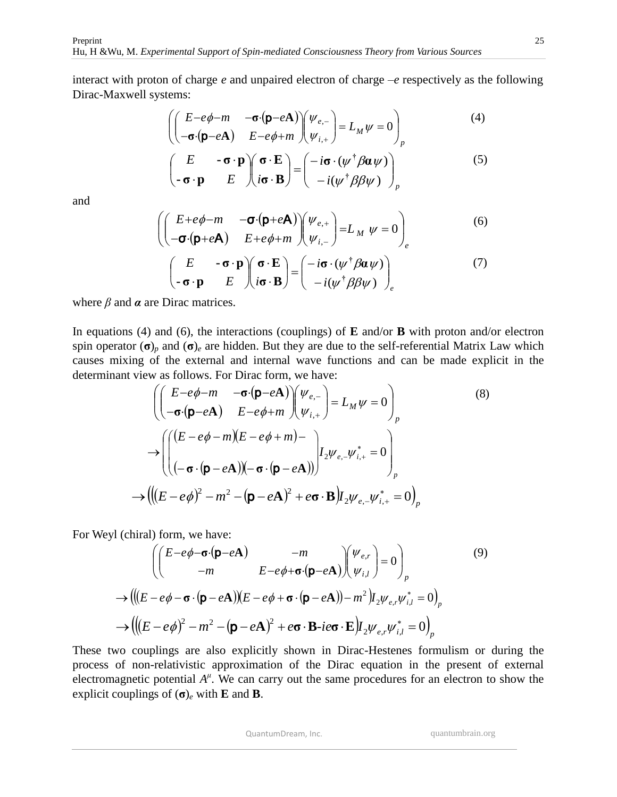interact with proton of charge *e* and unpaired electron of charge –*e* respectively as the following Dirac-Maxwell systems:

$$
\begin{pmatrix}\nE-e\phi-m & -\sigma(p-eA) \\
-\sigma(p-eA) & E-e\phi+m\n\end{pmatrix}\n\begin{pmatrix}\n\psi_{e,-} \\
\psi_{i,+}\n\end{pmatrix} = L_M \psi = 0\n\end{pmatrix}_p
$$
\n(4)

$$
\begin{pmatrix} E & -\boldsymbol{\sigma} \cdot \mathbf{p} \\ -\boldsymbol{\sigma} \cdot \mathbf{p} & E \end{pmatrix} \begin{pmatrix} \boldsymbol{\sigma} \cdot \mathbf{E} \\ i\boldsymbol{\sigma} \cdot \mathbf{B} \end{pmatrix} = \begin{pmatrix} -i\boldsymbol{\sigma} \cdot (\psi^{\dagger} \beta \boldsymbol{\alpha} \psi) \\ -i(\psi^{\dagger} \beta \beta \psi) \end{pmatrix}_{p}
$$
(5)

and

$$
\begin{pmatrix}\nE + e\phi - m & -\sigma \cdot (\mathbf{p} + e\mathbf{A}) \\
-\sigma \cdot (\mathbf{p} + e\mathbf{A}) & E + e\phi + m\n\end{pmatrix}\n\begin{pmatrix}\n\psi_{e,+} \\
\psi_{i,-}\n\end{pmatrix} = L_M \ \psi = 0
$$
\n(6)

$$
\begin{pmatrix} E & -\boldsymbol{\sigma} \cdot \mathbf{p} \\ -\boldsymbol{\sigma} \cdot \mathbf{p} & E \end{pmatrix} \begin{pmatrix} \boldsymbol{\sigma} \cdot \mathbf{E} \\ i\boldsymbol{\sigma} \cdot \mathbf{B} \end{pmatrix} = \begin{pmatrix} -i\boldsymbol{\sigma} \cdot (\psi^{\dagger} \beta \boldsymbol{\alpha} \psi) \\ -i(\psi^{\dagger} \beta \beta \psi) \end{pmatrix}_{e}
$$
 (7)

where  $\beta$  and  $\alpha$  are Dirac matrices.

In equations (4) and (6), the interactions (couplings) of **E** and/or **B** with proton and/or electron spin operator  $(\sigma)$ <sub>*p*</sub> and  $(\sigma)$ <sub>*e*</sub> are hidden. But they are due to the self-referential Matrix Law which causes mixing of the external and internal wave functions and can be made explicit in the determinant view as follows. For Dirac form, we have:

$$
\left( \begin{pmatrix} E - e\phi - m & -\sigma \cdot (\mathbf{p} - e\mathbf{A}) \\ -\sigma \cdot (\mathbf{p} - e\mathbf{A}) & E - e\phi + m \end{pmatrix} \begin{pmatrix} \psi_{e,-} \\ \psi_{i,+} \end{pmatrix} = L_M \psi = 0 \right)_p
$$
\n
$$
\rightarrow \left( \begin{pmatrix} (E - e\phi - m)(E - e\phi + m) \\ (-\sigma \cdot (\mathbf{p} - e\mathbf{A})) (-\sigma \cdot (\mathbf{p} - e\mathbf{A})) \end{pmatrix} I_2 \psi_{e,-} \psi_{i,+}^* = 0 \right)_p
$$
\n
$$
\rightarrow \left( \left( (E - e\phi)^2 - m^2 - (\mathbf{p} - e\mathbf{A})^2 + e\sigma \cdot \mathbf{B} \right) I_2 \psi_{e,-} \psi_{i,+}^* = 0 \right)_p
$$
\n(8)

For Weyl (chiral) form, we have:

$$
\left( \begin{pmatrix} E - e\phi - \sigma \cdot (\mathbf{p} - e\mathbf{A}) & -m \\ -m & E - e\phi + \sigma \cdot (\mathbf{p} - e\mathbf{A}) \end{pmatrix} \begin{pmatrix} \psi_{e,r} \\ \psi_{i,l} \end{pmatrix} = 0 \right)_p
$$
  
\n
$$
\rightarrow \left( \left( (E - e\phi - \sigma \cdot (\mathbf{p} - e\mathbf{A})) (E - e\phi + \sigma \cdot (\mathbf{p} - e\mathbf{A})) - m^2 \right) I_2 \psi_{e,r} \psi_{i,l}^* = 0 \right)_p
$$
  
\n
$$
\rightarrow \left( \left( (E - e\phi)^2 - m^2 - (\mathbf{p} - e\mathbf{A})^2 + e\sigma \cdot \mathbf{B} \cdot ie\sigma \cdot \mathbf{E} \right) I_2 \psi_{e,r} \psi_{i,l}^* = 0 \right)_p
$$
  
\n(9)

These two couplings are also explicitly shown in Dirac-Hestenes formulism or during the process of non-relativistic approximation of the Dirac equation in the present of external electromagnetic potential  $A^{\mu}$ . We can carry out the same procedures for an electron to show the explicit couplings of (**σ**)*<sup>e</sup>* with **E** and **B**.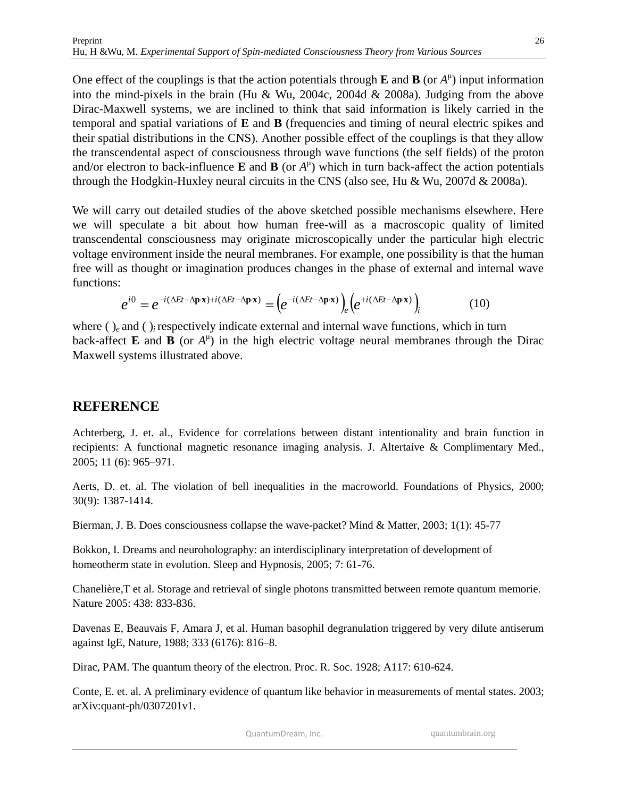One effect of the couplings is that the action potentials through **E** and **B** (or  $A^{\mu}$ ) input information into the mind-pixels in the brain (Hu & Wu, 2004c, 2004d & 2008a). Judging from the above Dirac-Maxwell systems, we are inclined to think that said information is likely carried in the temporal and spatial variations of **E** and **B** (frequencies and timing of neural electric spikes and their spatial distributions in the CNS). Another possible effect of the couplings is that they allow the transcendental aspect of consciousness through wave functions (the self fields) of the proton and/or electron to back-influence **E** and **B** (or  $A^{\mu}$ ) which in turn back-affect the action potentials through the Hodgkin-Huxley neural circuits in the CNS (also see, Hu & Wu, 2007d & 2008a).

We will carry out detailed studies of the above sketched possible mechanisms elsewhere. Here we will speculate a bit about how human free-will as a macroscopic quality of limited transcendental consciousness may originate microscopically under the particular high electric voltage environment inside the neural membranes. For example, one possibility is that the human free will as thought or imagination produces changes in the phase of external and internal wave functions:

$$
e^{i0} = e^{-i(\Delta E t - \Delta \mathbf{p} \cdot \mathbf{x}) + i(\Delta E t - \Delta \mathbf{p} \cdot \mathbf{x})} = \left(e^{-i(\Delta E t - \Delta \mathbf{p} \cdot \mathbf{x})}\right)_e \left(e^{+i(\Delta E t - \Delta \mathbf{p} \cdot \mathbf{x})}\right)_i
$$
(10)

where ( )<sub>e</sub> and ( )<sub>i</sub> respectively indicate external and internal wave functions, which in turn back-affect **E** and **B** (or  $A^{\mu}$ ) in the high electric voltage neural membranes through the Dirac Maxwell systems illustrated above.

## **REFERENCE**

Achterberg, J. et. al., Evidence for correlations between distant intentionality and brain function in recipients: A functional magnetic resonance imaging analysis. J. Altertaive & Complimentary Med., 2005; 11 (6): 965–971.

Aerts, D. et. al. The violation of bell inequalities in the macroworld. Foundations of Physics, 2000; 30(9): 1387-1414.

Bierman, J. B. Does consciousness collapse the wave-packet? Mind & Matter, 2003; 1(1): 45-77

Bokkon, I. Dreams and neuroholography: an interdisciplinary interpretation of development of homeotherm state in evolution. Sleep and Hypnosis, 2005; 7: 61-76.

Chanelière,T et al. Storage and retrieval of single photons transmitted between remote quantum memorie. Nature 2005: 438: 833-836.

Davenas E, Beauvais F, Amara J, et al. Human basophil degranulation triggered by very dilute antiserum against IgE, Nature, 1988; 333 (6176): 816–8.

Dirac, PAM. The quantum theory of the electron. Proc. R. Soc. 1928; A117: 610-624.

Conte, E. et. al. A preliminary evidence of quantum like behavior in measurements of mental states. 2003; arXiv:quant-ph/0307201v1.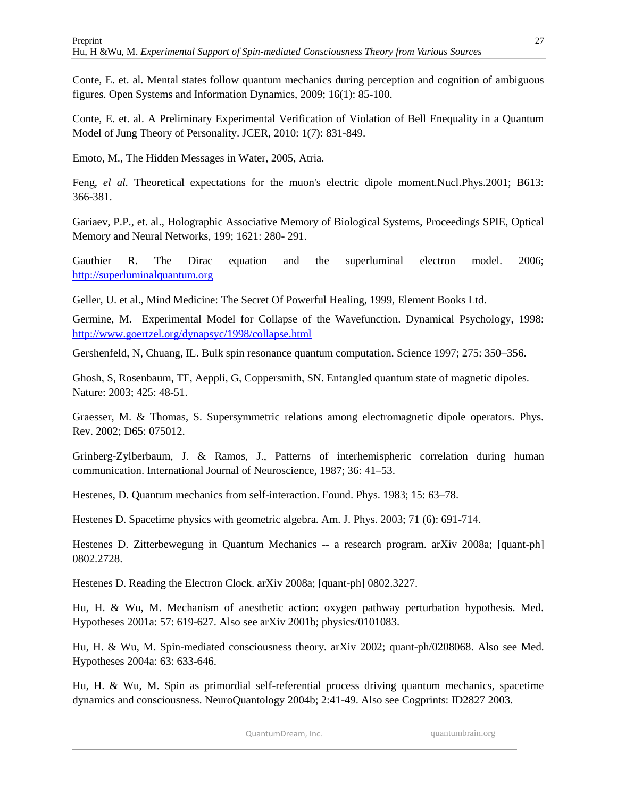Conte, E. et. al. Mental states follow quantum mechanics during perception and cognition of ambiguous figures. Open Systems and Information Dynamics, 2009; 16(1): 85-100.

Conte, E. et. al. A Preliminary Experimental Verification of Violation of Bell Enequality in a Quantum Model of Jung Theory of Personality. JCER, 2010: 1(7): 831-849.

Emoto, M., The Hidden Messages in Water, 2005, Atria.

Feng, *el al.* Theoretical expectations for the muon's electric dipole moment.Nucl.Phys.2001; B613: 366-381.

Gariaev, P.P., et. al., Holographic Associative Memory of Biological Systems, Proceedings SPIE, Optical Memory and Neural Networks, 199; 1621: 280- 291.

Gauthier R. The Dirac equation and the superluminal electron model. 2006; [http://superluminalquantum.org](http://superluminalquantum.org/)

Geller, U. et al., Mind Medicine: The Secret Of Powerful Healing, 1999, Element Books Ltd.

Germine, M. Experimental Model for Collapse of the Wavefunction. Dynamical Psychology, 1998: <http://www.goertzel.org/dynapsyc/1998/collapse.html>

Gershenfeld, N, Chuang, IL. Bulk spin resonance quantum computation. Science 1997; 275: 350–356.

Ghosh, S, Rosenbaum, TF, Aeppli, G, Coppersmith, SN. Entangled quantum state of magnetic dipoles. Nature: 2003; 425: 48-51.

Graesser, M. & Thomas, S. Supersymmetric relations among electromagnetic dipole operators. Phys. Rev. 2002; D65: 075012.

Grinberg-Zylberbaum, J. & Ramos, J., Patterns of interhemispheric correlation during human communication. International Journal of Neuroscience, 1987; 36: 41–53.

Hestenes, D. Quantum mechanics from self-interaction. Found. Phys. 1983; 15: 63–78.

Hestenes D. Spacetime physics with geometric algebra. Am. J. Phys. 2003; 71 (6): 691-714.

Hestenes D. Zitterbewegung in Quantum Mechanics -- a research program. arXiv 2008a; [quant-ph] 0802.2728.

Hestenes D. Reading the Electron Clock. arXiv 2008a; [quant-ph] 0802.3227.

Hu, H. & Wu, M. Mechanism of anesthetic action: oxygen pathway perturbation hypothesis. Med. Hypotheses 2001a: 57: 619-627. Also see arXiv 2001b; physics/0101083.

Hu, H. & Wu, M. Spin-mediated consciousness theory. arXiv 2002; quant-ph/0208068. Also see Med. Hypotheses 2004a: 63: 633-646.

Hu, H. & Wu, M. Spin as primordial self-referential process driving quantum mechanics, spacetime dynamics and consciousness. NeuroQuantology 2004b; 2:41-49. Also see Cogprints: ID2827 2003.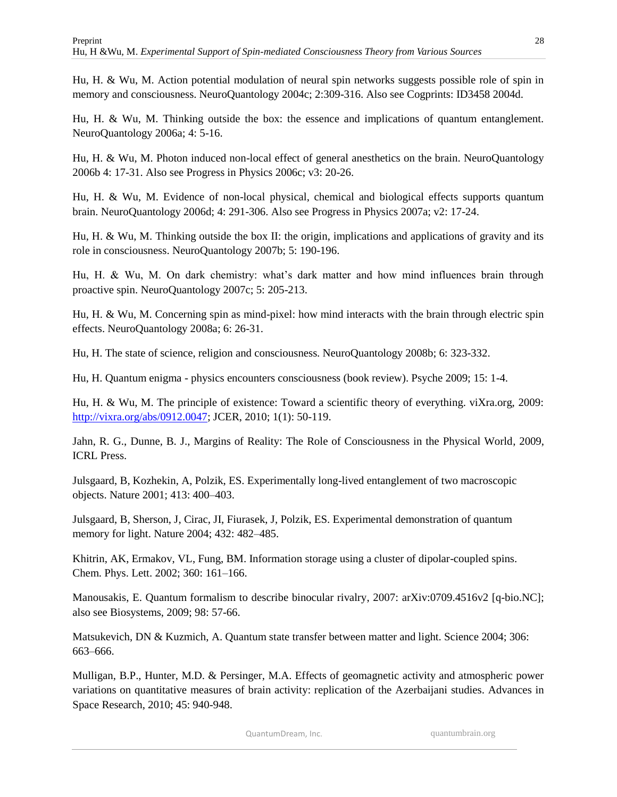Hu, H. & Wu, M. Action potential modulation of neural spin networks suggests possible role of spin in memory and consciousness. NeuroQuantology 2004c; 2:309-316. Also see Cogprints: ID3458 2004d.

Hu, H. & Wu, M. Thinking outside the box: the essence and implications of quantum entanglement. NeuroQuantology 2006a; 4: 5-16.

Hu, H. & Wu, M. Photon induced non-local effect of general anesthetics on the brain. NeuroQuantology 2006b 4: 17-31. Also see Progress in Physics 2006c; v3: 20-26.

Hu, H. & Wu, M. Evidence of non-local physical, chemical and biological effects supports quantum brain. NeuroQuantology 2006d; 4: 291-306. Also see Progress in Physics 2007a; v2: 17-24.

Hu, H. & Wu, M. Thinking outside the box II: the origin, implications and applications of gravity and its role in consciousness. NeuroQuantology 2007b; 5: 190-196.

Hu, H. & Wu, M. On dark chemistry: what's dark matter and how mind influences brain through proactive spin. NeuroQuantology 2007c; 5: 205-213.

Hu, H. & Wu, M. Concerning spin as mind-pixel: how mind interacts with the brain through electric spin effects. NeuroQuantology 2008a; 6: 26-31.

Hu, H. The state of science, religion and consciousness. NeuroQuantology 2008b; 6: 323-332.

Hu, H. Quantum enigma - physics encounters consciousness (book review). Psyche 2009; 15: 1-4.

Hu, H. & Wu, M. The principle of existence: Toward a scientific theory of everything. viXra.org, 2009: [http://vixra.org/abs/0912.0047;](http://vixra.org/abs/0912.0047) JCER, 2010; 1(1): 50-119.

Jahn, R. G., Dunne, B. J., Margins of Reality: The Role of Consciousness in the Physical World, 2009, ICRL Press.

Julsgaard, B, Kozhekin, A, Polzik, ES. Experimentally long-lived entanglement of two macroscopic objects. Nature 2001; 413: 400–403.

Julsgaard, B, Sherson, J, Cirac, JI, Fiurasek, J, Polzik, ES. Experimental demonstration of quantum memory for light. Nature 2004; 432: 482–485.

Khitrin, AK, Ermakov, VL, Fung, BM. Information storage using a cluster of dipolar-coupled spins. Chem. Phys. Lett. 2002; 360: 161–166.

Manousakis, E. Quantum formalism to describe binocular rivalry, 2007: arXiv:0709.4516v2 [q-bio.NC]; also see Biosystems, 2009; 98: 57-66.

Matsukevich, DN & Kuzmich, A. Quantum state transfer between matter and light. Science 2004; 306: 663–666.

Mulligan, B.P., Hunter, M.D. & Persinger, M.A. Effects of geomagnetic activity and atmospheric power variations on quantitative measures of brain activity: replication of the Azerbaijani studies. Advances in Space Research, 2010; 45: 940-948.